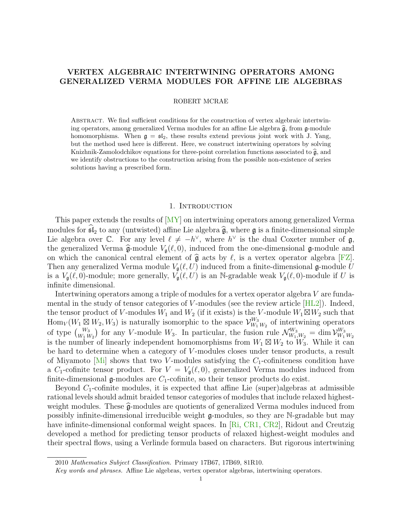# VERTEX ALGEBRAIC INTERTWINING OPERATORS AMONG GENERALIZED VERMA MODULES FOR AFFINE LIE ALGEBRAS

### ROBERT MCRAE

Abstract. We find sufficient conditions for the construction of vertex algebraic intertwining operators, among generalized Verma modules for an affine Lie algebra  $\hat{\mathfrak{g}}$ , from g-module homomorphisms. When  $g = sf_2$ , these results extend previous joint work with J. Yang, but the method used here is different. Here, we construct intertwining operators by solving Knizhnik-Zamolodchikov equations for three-point correlation functions associated to  $\hat{\mathfrak{g}}$ , and we identify obstructions to the construction arising from the possible non-existence of series solutions having a prescribed form.

# 1. INTRODUCTION

This paper extends the results of [\[MY\]](#page-17-0) on intertwining operators among generalized Verma modules for  $\widehat{\mathfrak{sl}}_2$  to any (untwisted) affine Lie algebra  $\widehat{\mathfrak{g}}$ , where g is a finite-dimensional simple Lie algebra over  $\mathbb{C}$ . For any level  $\ell \neq -h^{\vee}$ , where  $h^{\vee}$  is the dual Coxeter number of  $\mathfrak{g}$ , the generalized Verma  $\hat{\mathfrak{g}}$ -module  $V_{\mathfrak{g}}(\ell, 0)$ , induced from the one-dimensional  $\mathfrak{g}$ -module and on which the canonical central element of  $\hat{\mathfrak{g}}$  acts by  $\ell$ , is a vertex operator algebra [\[FZ\]](#page-17-1). Then any generalized Verma module  $V_{\mathfrak{g}}(\ell, U)$  induced from a finite-dimensional g-module U is a  $V_{\mathfrak{g}}(\ell, 0)$ -module; more generally,  $V_{\mathfrak{g}}(\ell, U)$  is an N-gradable weak  $V_{\mathfrak{g}}(\ell, 0)$ -module if U is infinite dimensional.

Intertwining operators among a triple of modules for a vertex operator algebra V are fundamental in the study of tensor categories of V-modules (see the review article  $[HL2]$ ). Indeed, the tensor product of V-modules  $W_1$  and  $W_2$  (if it exists) is the V-module  $W_1 \boxtimes W_2$  such that  $\text{Hom}_V(W_1 \boxtimes W_2, W_3)$  is naturally isomorphic to the space  $\mathcal{V}_{W_1}^{W_3}$  $W_1^3$   $W_2$  of intertwining operators of type  $\binom{W_3}{W_1 W_2}$  for any V-module  $W_3$ . In particular, the fusion rule  $\mathcal{N}_{W_1,W_2}^{W_3} = \dim \mathcal{V}_{W_1}^{W_3}$  $W_1$   $W_2$ is the number of linearly independent homomorphisms from  $W_1 \boxtimes W_2$  to  $W_3$ . While it can be hard to determine when a category of V -modules closes under tensor products, a result of Miyamoto  $[M_i]$  shows that two V-modules satisfying the  $C_1$ -cofiniteness condition have a C<sub>1</sub>-cofinite tensor product. For  $V = V_{\mathfrak{g}}(\ell, 0)$ , generalized Verma modules induced from finite-dimensional  $\mathfrak g$ -modules are  $C_1$ -cofinite, so their tensor products do exist.

Beyond  $C_1$ -cofinite modules, it is expected that affine Lie (super)algebras at admissible rational levels should admit braided tensor categories of modules that include relaxed highestweight modules. These  $\hat{g}$ -modules are quotients of generalized Verma modules induced from possibly infinite-dimensional irreducible weight  $\alpha$ -modules, so they are N-gradable but may have infinite-dimensional conformal weight spaces. In  $\vert$ Ri, [CR1,](#page-17-5) CR2, Ridout and Creutzig developed a method for predicting tensor products of relaxed highest-weight modules and their spectral flows, using a Verlinde formula based on characters. But rigorous intertwining

<sup>2010</sup> Mathematics Subject Classification. Primary 17B67, 17B69, 81R10.

Key words and phrases. Affine Lie algebras, vertex operator algebras, intertwining operators.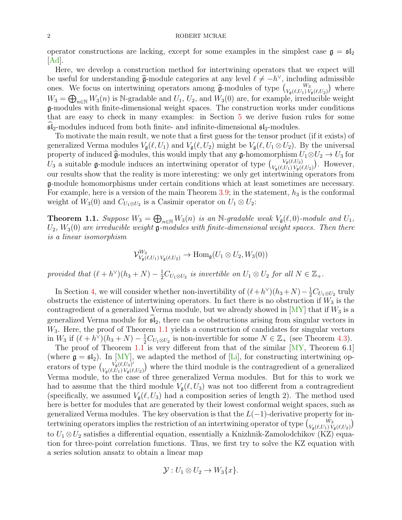operator constructions are lacking, except for some examples in the simplest case  $\mathfrak{g} = \mathfrak{sl}_2$  $[Ad]$ .

Here, we develop a construction method for intertwining operators that we expect will be useful for understanding  $\hat{\mathfrak{g}}$ -module categories at any level  $\ell \neq -h^{\vee}$ , including admissible<br>once. We focus on intertwining operators emerg  $\hat{\mathfrak{g}}$  modules of type  $\ell$ ,  $\mathbb{W}_3$ ones. We focus on intertwining operators among  $\hat{\mathfrak{g}}$ -modules of type  $\begin{pmatrix} W_3 \\ V_{\mathfrak{g}}(\ell,U_1) V_{\mathfrak{g}}(\ell,U_2) \end{pmatrix}$  where  $W_3 = \bigoplus_{n \in \mathbb{N}} W_3(n)$  is N-gradable and  $U_1, U_2$ , and  $W_3(0)$  are, for example, irreducible weight g-modules with finite-dimensional weight spaces. The construction works under conditions that are easy to check in many examples: in Section [5](#page-12-0) we derive fusion rules for some  $\mathfrak{sl}_2$ -modules induced from both finite- and infinite-dimensional  $\mathfrak{sl}_2$ -modules.

To motivate the main result, we note that a first guess for the tensor product (if it exists) of generalized Verma modules  $V_{\mathfrak{g}}(\ell, U_1)$  and  $V_{\mathfrak{g}}(\ell, U_2)$  might be  $V_{\mathfrak{g}}(\ell, U_1 \otimes U_2)$ . By the universal property of induced  $\hat{\mathfrak{g}}$ -modules, this would imply that any  $\mathfrak{g}$ -homomorphism  $U_1 \otimes U_2 \to U_3$  for  $U_3$  a suitable g-module induces an intertwining operator of type  $\begin{pmatrix} V_0(\ell,U_3) \\ V_2(\ell,U_1) \end{pmatrix}$  $V_{\mathfrak{g}}(\ell,U_3)$   $V_{\mathfrak{g}}(\ell,U_1) V_{\mathfrak{g}}(\ell,U_2)$ . However, our results show that the reality is more interesting: we only get intertwining operators from g-module homomorphisms under certain conditions which at least sometimes are necessary. For example, here is a version of the main Theorem [3.9;](#page-10-0) in the statement,  $h_3$  is the conformal weight of  $W_3(0)$  and  $C_{U_1 \otimes U_2}$  is a Casimir operator on  $U_1 \otimes U_2$ :

<span id="page-1-0"></span>**Theorem 1.1.** Suppose  $W_3 = \bigoplus_{n \in \mathbb{N}} W_3(n)$  is an  $\mathbb{N}$ -gradable weak  $V_\mathfrak{g}(\ell, 0)$ -module and  $U_1$ ,  $U_2$ ,  $W_3(0)$  are irreducible weight  $\mathfrak{g}\text{-modules}$  with finite-dimensional weight spaces. Then there is a linear isomorphism

$$
\mathcal{V}_{V_{\mathfrak{g}}(\ell,U_1)V_{\mathfrak{g}}(\ell,U_2)}^{W_3} \to \text{Hom}_{\mathfrak{g}}(U_1 \otimes U_2, W_3(0))
$$

provided that  $(\ell + h^{\vee})(h_3 + N) - \frac{1}{2}C_{U_1 \otimes U_2}$  is invertible on  $U_1 \otimes U_2$  for all  $N \in \mathbb{Z}_+$ .

In Section [4,](#page-10-1) we will consider whether non-invertibility of  $(\ell + h^{\vee})(h_3 + N) - \frac{1}{2}C_{U_1 \otimes U_2}$  truly obstructs the existence of intertwining operators. In fact there is no obstruction if  $W_3$  is the contragredient of a generalized Verma module, but we already showed in  $\lfloor MY \rfloor$  that if  $W_3$  is a generalized Verma module for  $\mathfrak{sl}_2$ , there can be obstructions arising from singular vectors in  $W_3$ . Here, the proof of Theorem [1.1](#page-1-0) yields a construction of candidates for singular vectors in  $W_3$  if  $(\ell + h^{\tilde{\vee}})(h_3 + N) - \frac{1}{2}C_{U_1 \otimes U_2}$  is non-invertible for some  $N \in \mathbb{Z}_+$  (see Theorem [4.3\)](#page-11-0).

The proof of Theorem [1.1](#page-1-0) is very different from that of the similar  $[MY,$  Theorem 6.1 (where  $\mathfrak{g} = \mathfrak{sl}_2$ ). In [\[MY\]](#page-17-0), we adapted the method of [\[Li\]](#page-17-8), for constructing intertwining operators of type  $\left(\begin{array}{cc} V_{\mathfrak{g}}(\ell,U_3)' \\ V_{\ell}(\ell,U_1) & V_{\ell}(\ell)\end{array}\right)$  $V_{\mathfrak{g}}(\ell,U_1)V_{\mathfrak{g}}(\ell,U_2)$  where the third module is the contragredient of a generalized Verma module, to the case of three generalized Verma modules. But for this to work we had to assume that the third module  $V_a(\ell, U_3)$  was not too different from a contragredient (specifically, we assumed  $V_{\mathfrak{g}}(\ell, U_3)$  had a composition series of length 2). The method used here is better for modules that are generated by their lowest conformal weight spaces, such as generalized Verma modules. The key observation is that the  $L(-1)$ -derivative property for intertwining operators implies the restriction of an intertwining operator of type  $\binom{W_3}{V_{\mathfrak{g}}(\ell,U_1)V_{\mathfrak{g}}(\ell,U_2)}$ to  $U_1 \otimes U_2$  satisfies a differential equation, essentially a Knizhnik-Zamolodchikov (KZ) equation for three-point correlation functions. Thus, we first try to solve the KZ equation with a series solution ansatz to obtain a linear map

$$
\mathcal{Y}: U_1 \otimes U_2 \to W_3\{x\}.
$$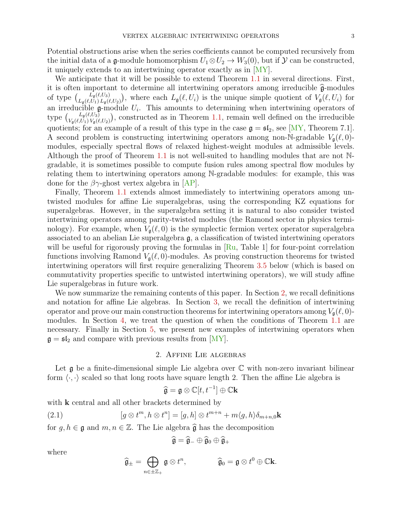Potential obstructions arise when the series coefficients cannot be computed recursively from the initial data of a g-module homomorphism  $U_1 \otimes U_2 \rightarrow W_3(0)$ , but if  $\mathcal Y$  can be constructed, it uniquely extends to an intertwining operator exactly as in [\[MY\]](#page-17-0).

We anticipate that it will be possible to extend Theorem [1.1](#page-1-0) in several directions. First, it is often important to determine all intertwining operators among irreducible  $\hat{\mathfrak{g}}$ -modules of type  $\begin{pmatrix} L_{\mathfrak{g}}(\ell,U_3) \\ L_{\mathfrak{g}}(\ell,U_1), L_{\mathfrak{g}}(\ell)\end{pmatrix}$  $L_{\mathfrak{g}}(\ell,U_3)$ , where each  $L_{\mathfrak{g}}(\ell,U_i)$  is the unique simple quotient of  $V_{\mathfrak{g}}(\ell,U_i)$  for an irreducible  $\mathfrak g$ -module  $U_i$ . This amounts to determining when intertwining operators of type  $\int_{V_{\alpha}(\ell,U_1),V_{\alpha}(\ell)}^{L_{\mathfrak{g}}(\ell,U_3)}$  $U_{\mathfrak{g}}(\ell,U_3)$ , constructed as in Theorem [1.1,](#page-1-0) remain well defined on the irreducible quotients; for an example of a result of this type in the case  $\mathfrak{g} = \mathfrak{sl}_2$ , see [\[MY,](#page-17-0) Theorem 7.1]. A second problem is constructing intertwining operators among non-N-gradable  $V_{\mathfrak{g}}(\ell, 0)$ modules, especially spectral flows of relaxed highest-weight modules at admissible levels. Although the proof of Theorem [1.1](#page-1-0) is not well-suited to handling modules that are not Ngradable, it is sometimes possible to compute fusion rules among spectral flow modules by relating them to intertwining operators among N-gradable modules: for example, this was done for the  $\beta\gamma$ -ghost vertex algebra in [\[AP\]](#page-17-9).

Finally, Theorem [1.1](#page-1-0) extends almost immediately to intertwining operators among untwisted modules for affine Lie superalgebras, using the corresponding KZ equations for superalgebras. However, in the superalgebra setting it is natural to also consider twisted intertwining operators among parity-twisted modules (the Ramond sector in physics terminology). For example, when  $V_{\mathfrak{g}}(\ell, 0)$  is the symplectic fermion vertex operator superalgebra associated to an abelian Lie superalgebra g, a classification of twisted intertwining operators will be useful for rigorously proving the formulas in  $\lceil \text{Ru}, \text{Table 1} \rceil$  for four-point correlation functions involving Ramond  $V_a(\ell, 0)$ -modules. As proving construction theorems for twisted intertwining operators will first require generalizing Theorem [3.5](#page-6-0) below (which is based on commutativity properties specific to untwisted intertwining operators), we will study affine Lie superalgebras in future work.

We now summarize the remaining contents of this paper. In Section [2,](#page-2-0) we recall definitions and notation for affine Lie algebras. In Section [3,](#page-4-0) we recall the definition of intertwining operator and prove our main construction theorems for intertwining operators among  $V_{\mathfrak{g}}(\ell, 0)$ modules. In Section [4,](#page-10-1) we treat the question of when the conditions of Theorem [1.1](#page-1-0) are necessary. Finally in Section [5,](#page-12-0) we present new examples of intertwining operators when  $\mathfrak{g} = \mathfrak{sl}_2$  and compare with previous results from [\[MY\]](#page-17-0).

### 2. Affine Lie algebras

<span id="page-2-0"></span>Let  $\mathfrak g$  be a finite-dimensional simple Lie algebra over  $\mathbb C$  with non-zero invariant bilinear form  $\langle \cdot, \cdot \rangle$  scaled so that long roots have square length 2. Then the affine Lie algebra is

$$
\widehat{\mathfrak{g}} = \mathfrak{g} \otimes \mathbb{C}[t, t^{-1}] \oplus \mathbb{C} \mathbf{k}
$$

with **k** central and all other brackets determined by

(2.1) 
$$
[g \otimes t^m, h \otimes t^n] = [g, h] \otimes t^{m+n} + m \langle g, h \rangle \delta_{m+n,0} \mathbf{k}
$$

for  $g, h \in \mathfrak{g}$  and  $m, n \in \mathbb{Z}$ . The Lie algebra  $\widehat{\mathfrak{g}}$  has the decomposition

$$
\widehat{\mathfrak{g}} = \widehat{\mathfrak{g}}_{-} \oplus \widehat{\mathfrak{g}}_{0} \oplus \widehat{\mathfrak{g}}_{+}
$$

where

<span id="page-2-1"></span>
$$
\widehat{\mathfrak{g}}_{\pm} = \bigoplus_{n \in \pm \mathbb{Z}_+} \mathfrak{g} \otimes t^n, \qquad \qquad \widehat{\mathfrak{g}}_0 = \mathfrak{g} \otimes t^0 \oplus \mathbb{C} \mathbf{k}.
$$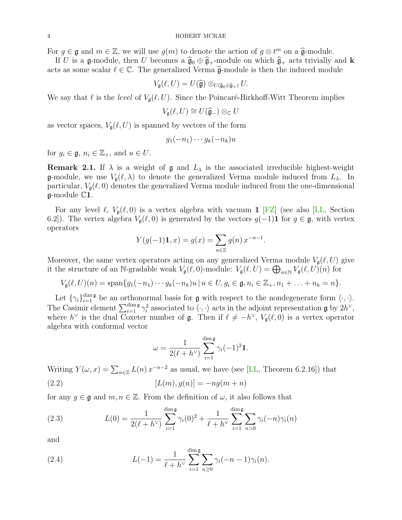For  $g \in \mathfrak{g}$  and  $m \in \mathbb{Z}$ , we will use  $g(m)$  to denote the action of  $g \otimes t^m$  on a  $\widehat{\mathfrak{g}}$ -module.<br>If II is a  $\mathfrak{g}$ -module, then II becomes a  $\widehat{\mathfrak{g}}$ ,  $\widehat{\mathfrak{g}}$  -module on which  $\widehat{\mathfrak{g}}$ -acts

If U is a g-module, then U becomes a  $\hat{\mathfrak{g}}_0 \oplus \hat{\mathfrak{g}}_+$ -module on which  $\hat{\mathfrak{g}}_+$  acts trivially and k acts as some scalar  $\ell \in \mathbb{C}$ . The generalized Verma  $\hat{\mathfrak{g}}$ -module is then the induced module

$$
V_{\mathfrak{g}}(\ell, U) = U(\widehat{\mathfrak{g}}) \otimes_{U(\widehat{\mathfrak{g}}_0 \oplus \widehat{\mathfrak{g}}_+)} U.
$$

We say that  $\ell$  is the level of  $V_{\mathfrak{a}}(\ell, U)$ . Since the Poincaré-Birkhoff-Witt Theorem implies

$$
V_{\mathfrak{g}}(\ell,U)\cong U(\widehat{\mathfrak{g}}_{-})\otimes_{\mathbb{C}}U
$$

as vector spaces,  $V_{\mathfrak{g}}(\ell, U)$  is spanned by vectors of the form

$$
g_1(-n_1)\cdots g_k(-n_k)u
$$

for  $g_i \in \mathfrak{g}, n_i \in \mathbb{Z}_+$ , and  $u \in U$ .

**Remark 2.1.** If  $\lambda$  is a weight of  $\mathfrak{g}$  and  $L_{\lambda}$  is the associated irreducible highest-weight **g**-module, we use  $V_{\mathfrak{g}}(\ell, \lambda)$  to denote the generalized Verma module induced from  $L_{\lambda}$ . In particular,  $V_{\mathfrak{g}}(\ell, 0)$  denotes the generalized Verma module induced from the one-dimensional  $\mathfrak{g}\text{-module } \mathbb{C}1.$ 

For any level  $\ell$ ,  $V_{\mathfrak{g}}(\ell, 0)$  is a vertex algebra with vacuum 1 [\[FZ\]](#page-17-1) (see also [\[LL,](#page-17-11) Section 6.2]). The vertex algebra  $V_{\mathfrak{g}}(\ell, 0)$  is generated by the vectors  $g(-1)$ **1** for  $g \in \mathfrak{g}$ , with vertex operators

$$
Y(g(-1)\mathbf{1},x) = g(x) = \sum_{n \in \mathbb{Z}} g(n) x^{-n-1}.
$$

Moreover, the same vertex operators acting on any generalized Verma module  $V_{\mathfrak{g}}(\ell, U)$  give it the structure of an N-gradable weak  $V_{\mathfrak{g}}(\ell,0)$ -module:  $V_{\mathfrak{g}}(\ell, U) = \bigoplus_{n \in \mathbb{N}} V_{\mathfrak{g}}(\ell, U)(n)$  for

 $V_{\mathfrak{g}}(\ell, U)(n) = \text{span}\{g_1(-n_1)\cdots g_k(-n_k)u | u \in U, g_i \in \mathfrak{g}, n_i \in \mathbb{Z}_+, n_1 + \ldots + n_k = n\}.$ 

Let  $\{\gamma_i\}_{i=1}^{\dim \mathfrak{g}}$  be an orthonormal basis for  $\mathfrak{g}$  with respect to the nondegenerate form  $\langle \cdot, \cdot \rangle$ . The Casimir element  $\sum_{i=1}^{\dim \mathfrak{g}} \gamma_i^2$  associated to  $\langle \cdot, \cdot \rangle$  acts in the adjoint representation  $\mathfrak{g}$  by  $2h^{\vee}$ , where  $h^{\vee}$  is the dual Coxeter number of  $\mathfrak{g}$ . Then if  $\ell \neq -h^{\vee}$ ,  $V_{\mathfrak{g}}(\ell,0)$  is a vertex operator algebra with conformal vector

<span id="page-3-0"></span>
$$
\omega = \frac{1}{2(\ell + h^{\vee})} \sum_{i=1}^{\dim \mathfrak{g}} \gamma_i (-1)^2 \mathbf{1}.
$$

Writing  $Y(\omega, x) = \sum_{n \in \mathbb{Z}} L(n) x^{-n-2}$  as usual, we have (see [\[LL,](#page-17-11) Theorem 6.2.16]) that

(2.2) 
$$
[L(m), g(n)] = -ng(m+n)
$$

for any  $g \in \mathfrak{g}$  and  $m, n \in \mathbb{Z}$ . From the definition of  $\omega$ , it also follows that

<span id="page-3-1"></span>(2.3) 
$$
L(0) = \frac{1}{2(\ell + h^{\vee})} \sum_{i=1}^{\dim \mathfrak{g}} \gamma_i(0)^2 + \frac{1}{\ell + h^{\vee}} \sum_{i=1}^{\dim \mathfrak{g}} \sum_{n>0} \gamma_i(-n) \gamma_i(n)
$$

and

<span id="page-3-2"></span>(2.4) 
$$
L(-1) = \frac{1}{\ell + h^{\vee}} \sum_{i=1}^{\dim \mathfrak{g}} \sum_{n \geq 0} \gamma_i (-n-1) \gamma_i(n).
$$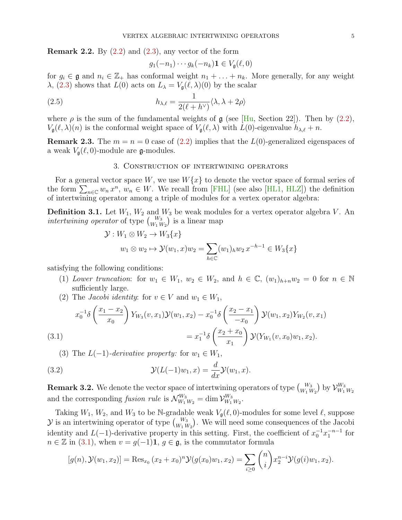**Remark 2.2.** By  $(2.2)$  and  $(2.3)$ , any vector of the form

<span id="page-4-3"></span>
$$
g_1(-n_1)\cdots g_k(-n_k)\mathbf{1}\in V_{\mathfrak{g}}(\ell,0)
$$

for  $g_i \in \mathfrak{g}$  and  $n_i \in \mathbb{Z}_+$  has conformal weight  $n_1 + \ldots + n_k$ . More generally, for any weight  $\lambda$ , [\(2.3\)](#page-3-1) shows that  $L(0)$  acts on  $L_{\lambda} = V_{\mathfrak{g}}(\ell, \lambda)(0)$  by the scalar

(2.5) 
$$
h_{\lambda,\ell} = \frac{1}{2(\ell + h^{\vee})} \langle \lambda, \lambda + 2\rho \rangle
$$

where  $\rho$  is the sum of the fundamental weights of  $\mathfrak g$  (see [\[Hu,](#page-17-12) Section 22]). Then by [\(2.2\)](#page-3-0),  $V_{\mathfrak{g}}(\ell, \lambda)(n)$  is the conformal weight space of  $V_{\mathfrak{g}}(\ell, \lambda)$  with  $L(0)$ -eigenvalue  $h_{\lambda,\ell} + n$ .

**Remark 2.3.** The  $m = n = 0$  case of [\(2.2\)](#page-3-0) implies that the  $L(0)$ -generalized eigenspaces of a weak  $V_{\mathfrak{g}}(\ell, 0)$ -module are g-modules.

## 3. Construction of intertwining operators

<span id="page-4-0"></span>For a general vector space W, we use  $W\{x\}$  to denote the vector space of formal series of the form  $\sum_{n\in\mathbb{C}} w_n x^n$ ,  $w_n \in W$ . We recall from [\[FHL\]](#page-17-13) (see also [\[HL1,](#page-17-14) [HLZ\]](#page-17-15)) the definition of intertwining operator among a triple of modules for a vertex operator algebra:

**Definition 3.1.** Let  $W_1, W_2$  and  $W_3$  be weak modules for a vertex operator algebra V. An intertwining operator of type  $\binom{W_3}{W_1 W_2}$  is a linear map

$$
\mathcal{Y}: W_1 \otimes W_2 \to W_3\{x\}
$$
  

$$
w_1 \otimes w_2 \mapsto \mathcal{Y}(w_1, x)w_2 = \sum_{h \in \mathbb{C}} (w_1)_h w_2 x^{-h-1} \in W_3\{x\}
$$

satisfying the following conditions:

- (1) Lower truncation: for  $w_1 \in W_1$ ,  $w_2 \in W_2$ , and  $h \in \mathbb{C}$ ,  $(w_1)_{h+n}w_2 = 0$  for  $n \in \mathbb{N}$ sufficiently large.
- (2) The *Jacobi identity*: for  $v \in V$  and  $w_1 \in W_1$ ,

<span id="page-4-1"></span>(3.1) 
$$
x_0^{-1}\delta\left(\frac{x_1 - x_2}{x_0}\right)Y_{W_3}(v, x_1)\mathcal{Y}(w_1, x_2) - x_0^{-1}\delta\left(\frac{x_2 - x_1}{-x_0}\right)\mathcal{Y}(w_1, x_2)Y_{W_2}(v, x_1) = x_1^{-1}\delta\left(\frac{x_2 + x_0}{x_1}\right)\mathcal{Y}(Y_{W_1}(v, x_0)w_1, x_2).
$$

<span id="page-4-2"></span>(3) The  $L(-1)$ -derivative property: for  $w_1 \in W_1$ ,

(3.2) 
$$
\mathcal{Y}(L(-1)w_1, x) = \frac{d}{dx}\mathcal{Y}(w_1, x).
$$

**Remark 3.2.** We denote the vector space of intertwining operators of type  $\binom{W_3}{W_1 W_2}$  by  $\mathcal{V}_{W_1}^{W_3}$  $W_1$   $W_2$ and the corresponding *fusion rule* is  $\mathcal{N}_{W_1 W_2}^{W_3} = \dim \mathcal{V}_{W_1}^{W_3}$  $\frac{W_3}{W_1 W_2}$ .

Taking  $W_1, W_2$ , and  $W_3$  to be N-gradable weak  $V_{\mathfrak{g}}(\ell, 0)$ -modules for some level  $\ell$ , suppose  $\mathcal Y$  is an intertwining operator of type  $\binom{W_3}{W_1 W_2}$ . We will need some consequences of the Jacobi identity and  $L(-1)$ -derivative property in this setting. First, the coefficient of  $x_0^{-1}x_1^{-n-1}$  for  $n \in \mathbb{Z}$  in [\(3.1\)](#page-4-1), when  $v = g(-1)\mathbf{1}, g \in \mathfrak{g}$ , is the commutator formula

$$
[g(n), \mathcal{Y}(w_1, x_2)] = \text{Res}_{x_0} (x_2 + x_0)^n \mathcal{Y}(g(x_0)w_1, x_2) = \sum_{i \ge 0} {n \choose i} x_2^{n-i} \mathcal{Y}(g(i)w_1, x_2).
$$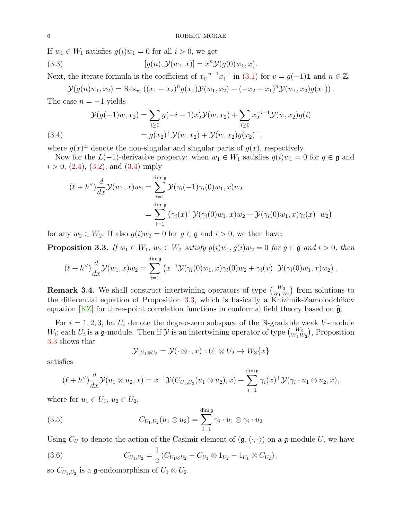If  $w_1 \in W_1$  satisfies  $g(i)w_1 = 0$  for all  $i > 0$ , we get

(3.3) 
$$
[g(n), \mathcal{Y}(w_1, x)] = x^n \mathcal{Y}(g(0)w_1, x).
$$

Next, the iterate formula is the coefficient of  $x_0^{-n-1}x_1^{-1}$  in [\(3.1\)](#page-4-1) for  $v = g(-1)1$  and  $n \in \mathbb{Z}$ :

$$
\mathcal{Y}(g(n)w_1,x_2) = \text{Res}_{x_1} ((x_1 - x_2)^n g(x_1) \mathcal{Y}(w_1,x_2) - (-x_2 + x_1)^n \mathcal{Y}(w_1,x_2) g(x_1)).
$$

The case  $n = -1$  yields

<span id="page-5-0"></span>(3.4)  
\n
$$
\mathcal{Y}(g(-1)w, x_2) = \sum_{i \ge 0} g(-i-1)x_2^i \mathcal{Y}(w, x_2) + \sum_{i \ge 0} x_2^{-i-1} \mathcal{Y}(w, x_2)g(i)
$$
\n
$$
= g(x_2)^+ \mathcal{Y}(w, x_2) + \mathcal{Y}(w, x_2)g(x_2)^-,
$$

where  $g(x)$ <sup> $\pm$ </sup> denote the non-singular and singular parts of  $g(x)$ , respectively.

Now for the  $L(-1)$ -derivative property: when  $w_1 \in W_1$  satisfies  $g(i)w_1 = 0$  for  $g \in \mathfrak{g}$  and  $i > 0$ , [\(2.4\)](#page-3-2), [\(3.2\)](#page-4-2), and [\(3.4\)](#page-5-0) imply

$$
(\ell + h^{\vee})\frac{d}{dx}\mathcal{Y}(w_1, x)w_2 = \sum_{i=1}^{\dim \mathfrak{g}} \mathcal{Y}(\gamma_i(-1)\gamma_i(0)w_1, x)w_2
$$
  
= 
$$
\sum_{i=1}^{\dim \mathfrak{g}} (\gamma_i(x)^+ \mathcal{Y}(\gamma_i(0)w_1, x)w_2 + \mathcal{Y}(\gamma_i(0)w_1, x)\gamma_i(x)^- w_2)
$$

for any  $w_2 \in W_2$ . If also  $g(i)w_2 = 0$  for  $g \in \mathfrak{g}$  and  $i > 0$ , we then have:

<span id="page-5-1"></span>**Proposition 3.3.** If  $w_1 \in W_1$ ,  $w_2 \in W_2$  satisfy  $g(i)w_1, g(i)w_2 = 0$  for  $g \in \mathfrak{g}$  and  $i > 0$ , then

$$
(\ell + h^{\vee})\frac{d}{dx}\mathcal{Y}(w_1, x)w_2 = \sum_{i=1}^{\dim \mathfrak{g}} \left( x^{-1}\mathcal{Y}(\gamma_i(0)w_1, x)\gamma_i(0)w_2 + \gamma_i(x)^+ \mathcal{Y}(\gamma_i(0)w_1, x)w_2 \right).
$$

**Remark 3.4.** We shall construct intertwining operators of type  $\begin{pmatrix} W_3 \ W_1 W_2 \end{pmatrix}$  from solutions to the differential equation of Proposition [3.3,](#page-5-1) which is basically a Knizhnik-Zamolodchikov equation  $KZ$  for three-point correlation functions in conformal field theory based on  $\hat{g}$ .

For  $i = 1, 2, 3$ , let  $U_i$  denote the degree-zero subspace of the N-gradable weak V-module  $W_i$ ; each  $U_i$  is a g-module. Then if  $\mathcal Y$  is an intertwining operator of type  ${W_3 \choose W_1 W_2}$ , Proposition [3.3](#page-5-1) shows that

<span id="page-5-3"></span>
$$
\mathcal{Y}|_{U_1 \otimes U_2} = \mathcal{Y}(\cdot \otimes \cdot, x) : U_1 \otimes U_2 \to W_3\{x\}
$$

satisfies

$$
(\ell+h^{\vee})\frac{d}{dx}\mathcal{Y}(u_1\otimes u_2,x)=x^{-1}\mathcal{Y}(C_{U_1,U_2}(u_1\otimes u_2),x)+\sum_{i=1}^{\dim\mathfrak{g}}\gamma_i(x)^+\mathcal{Y}(\gamma_i\cdot u_1\otimes u_2,x),
$$

where for  $u_1 \in U_1$ ,  $u_2 \in U_2$ ,

(3.5) 
$$
C_{U_1,U_2}(u_1 \otimes u_2) = \sum_{i=1}^{\dim \mathfrak{g}} \gamma_i \cdot u_1 \otimes \gamma_i \cdot u_2
$$

Using  $C_U$  to denote the action of the Casimir element of  $(\mathfrak{g},\langle\cdot,\cdot\rangle)$  on a g-module U, we have

<span id="page-5-2"></span>(3.6) 
$$
C_{U_1,U_2} = \frac{1}{2} \left( C_{U_1 \otimes U_2} - C_{U_1} \otimes 1_{U_2} - 1_{U_1} \otimes C_{U_2} \right),
$$

so  $C_{U_1,U_2}$  is a g-endomorphism of  $U_1 \otimes U_2$ .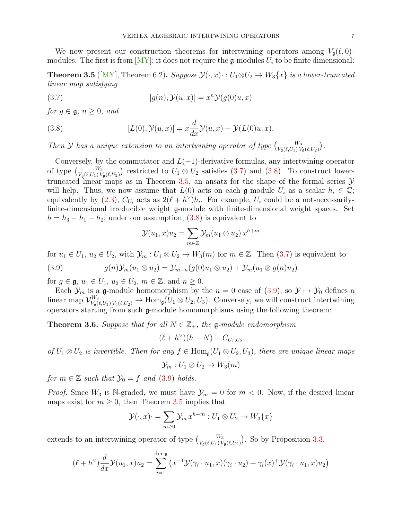We now present our construction theorems for intertwining operators among  $V_{\mathfrak{q}}(\ell, 0)$ modules. The first is from  $[MY]$ ; it does not require the g-modules  $U_i$  to be finite dimensional:

<span id="page-6-0"></span>**Theorem 3.5** ([\[MY\]](#page-17-0), Theorem 6.2). Suppose  $\mathcal{Y}(\cdot, x) \cdot : U_1 \otimes U_2 \to W_3\{x\}$  is a lower-truncated linear map satisfying

<span id="page-6-1"></span>(3.7) 
$$
[g(n), \mathcal{Y}(u, x)] = x^n \mathcal{Y}(g(0)u, x)
$$

for  $q \in \mathfrak{g}, n \geq 0$ , and

<span id="page-6-2"></span>(3.8) 
$$
[L(0), \mathcal{Y}(u,x)] = x \frac{d}{dx} \mathcal{Y}(u,x) + \mathcal{Y}(L(0)u,x).
$$

Then Y has a unique extension to an intertwining operator of type  $\binom{W_3}{V_{\mathfrak{g}}(\ell,U_1)V_{\mathfrak{g}}(\ell,U_2)}$ .

Conversely, by the commutator and  $L(-1)$ -derivative formulas, any intertwining operator of type  $\binom{W_3}{V_{\mathfrak{g}}(\ell,U_1)V_{\mathfrak{g}}(\ell,U_2)}$  restricted to  $U_1 \otimes U_2$  satisfies [\(3.7\)](#page-6-1) and [\(3.8\)](#page-6-2). To construct lower-truncated linear maps as in Theorem [3.5,](#page-6-0) an ansatz for the shape of the formal series  $\mathcal Y$ will help. Thus, we now assume that  $L(0)$  acts on each g-module  $U_i$  as a scalar  $h_i \in \mathbb{C}$ ; equivalently by [\(2.3\)](#page-3-1),  $C_{U_i}$  acts as  $2(\ell + h^{\vee})h_i$ . For example,  $U_i$  could be a not-necessarilyfinite-dimensional irreducible weight g-module with finite-dimensional weight spaces. Set  $h = h_3 - h_1 - h_2$ ; under our assumption, [\(3.8\)](#page-6-2) is equivalent to

<span id="page-6-3"></span>
$$
\mathcal{Y}(u_1, x)u_2 = \sum_{m \in \mathbb{Z}} \mathcal{Y}_m(u_1 \otimes u_2) x^{h+m}
$$

for  $u_1 \in U_1$ ,  $u_2 \in U_2$ , with  $\mathcal{Y}_m : U_1 \otimes U_2 \to W_3(m)$  for  $m \in \mathbb{Z}$ . Then [\(3.7\)](#page-6-1) is equivalent to

(3.9) 
$$
g(n)\mathcal{Y}_m(u_1 \otimes u_2) = \mathcal{Y}_{m-n}(g(0)u_1 \otimes u_2) + \mathcal{Y}_m(u_1 \otimes g(n)u_2)
$$

for  $g \in \mathfrak{g}, u_1 \in U_1, u_2 \in U_2, m \in \mathbb{Z}$ , and  $n \geq 0$ .

Each  $\mathcal{Y}_m$  is a g-module homomorphism by the  $n = 0$  case of  $(3.9)$ , so  $\mathcal{Y} \mapsto \mathcal{Y}_0$  defines a linear map  $\mathcal{V}_{V_\mathfrak{g}(\ell,U_1)V_\mathfrak{g}(\ell,U_2)}^{W_3} \to \text{Hom}_{\mathfrak{g}}(U_1 \otimes U_2, U_3)$ . Conversely, we will construct intertwining operators starting from such g-module homomorphisms using the following theorem:

<span id="page-6-4"></span>**Theorem 3.6.** Suppose that for all  $N \in \mathbb{Z}_+$ , the g-module endomorphism

$$
(\ell+h^{\vee})(h+N)-C_{U_1,U_2}
$$

of  $U_1 \otimes U_2$  is invertible. Then for any  $f \in \text{Hom}_{\mathfrak{g}}(U_1 \otimes U_2, U_3)$ , there are unique linear maps

$$
\mathcal{Y}_m: U_1 \otimes U_2 \to W_3(m)
$$

for  $m \in \mathbb{Z}$  such that  $\mathcal{Y}_0 = f$  and [\(3.9\)](#page-6-3) holds.

*Proof.* Since  $W_3$  is N-graded, we must have  $\mathcal{Y}_m = 0$  for  $m < 0$ . Now, if the desired linear maps exist for  $m \geq 0$ , then Theorem [3.5](#page-6-0) implies that

$$
\mathcal{Y}(\cdot, x) = \sum_{m \ge 0} \mathcal{Y}_m x^{h+m} : U_1 \otimes U_2 \to W_3\{x\}
$$

extends to an intertwining operator of type  $\binom{W_3}{V_{\mathfrak{g}}(\ell,U_1)V_{\mathfrak{g}}(\ell,U_2)}$ . So by Proposition [3.3,](#page-5-1)

$$
(\ell+h^{\vee})\frac{d}{dx}\mathcal{Y}(u_1,x)u_2=\sum_{i=1}^{\dim\mathfrak{g}}\left(x^{-1}\mathcal{Y}(\gamma_i\cdot u_1,x)(\gamma_i\cdot u_2)+\gamma_i(x)^+\mathcal{Y}(\gamma_i\cdot u_1,x)u_2\right)
$$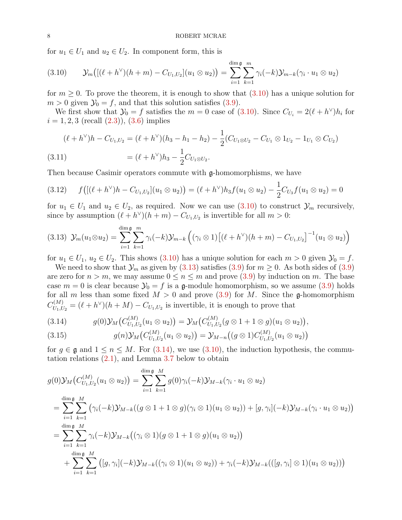for  $u_1 \in U_1$  and  $u_2 \in U_2$ . In component form, this is

<span id="page-7-0"></span>
$$
(3.10) \t\t\t\t\t\mathcal{Y}_m\big( [(\ell+h^{\vee})(h+m)-C_{U_1,U_2}](u_1\otimes u_2) \big) = \sum_{i=1}^{\dim \mathfrak{g}} \sum_{k=1}^m \gamma_i(-k) \mathcal{Y}_{m-k}(\gamma_i \cdot u_1\otimes u_2)
$$

for  $m \geq 0$ . To prove the theorem, it is enough to show that  $(3.10)$  has a unique solution for  $m > 0$  given  $\mathcal{Y}_0 = f$ , and that this solution satisfies [\(3.9\)](#page-6-3).

We first show that  $\mathcal{Y}_0 = f$  satisfies the  $m = 0$  case of [\(3.10\)](#page-7-0). Since  $C_{U_i} = 2(\ell + h^{\vee})h_i$  for  $i = 1, 2, 3$  (recall  $(2.3)$ ),  $(3.6)$  implies

<span id="page-7-5"></span>
$$
(\ell + h^{\vee})h - C_{U_1, U_2} = (\ell + h^{\vee})(h_3 - h_1 - h_2) - \frac{1}{2}(C_{U_1 \otimes U_2} - C_{U_1} \otimes 1_{U_2} - 1_{U_1} \otimes C_{U_2})
$$
  
(3.11)  

$$
= (\ell + h^{\vee})h_3 - \frac{1}{2}C_{U_1 \otimes U_2}.
$$

Then because Casimir operators commute with g-homomorphisms, we have

<span id="page-7-4"></span>
$$
(3.12) \t f\big( [(\ell + h^{\vee})h - C_{U_1, U_2}](u_1 \otimes u_2) \big) = (\ell + h^{\vee})h_3 f(u_1 \otimes u_2) - \frac{1}{2}C_{U_3} f(u_1 \otimes u_2) = 0
$$

for  $u_1 \in U_1$  and  $u_2 \in U_2$ , as required. Now we can use  $(3.10)$  to construct  $\mathcal{Y}_m$  recursively, since by assumption  $(\ell + h^{\vee})(h + m) - C_{U_1, U_2}$  is invertible for all  $m > 0$ :

<span id="page-7-1"></span>
$$
(3.13) \ \mathcal{Y}_m(u_1 \otimes u_2) = \sum_{i=1}^{\dim \mathfrak{g}} \sum_{k=1}^m \gamma_i(-k) \mathcal{Y}_{m-k} \left( (\gamma_i \otimes 1) \left[ (\ell + h^{\vee})(h+m) - C_{U_1, U_2} \right]^{-1} (u_1 \otimes u_2) \right)
$$

for  $u_1 \in U_1$ ,  $u_2 \in U_2$ . This shows [\(3.10\)](#page-7-0) has a unique solution for each  $m > 0$  given  $\mathcal{Y}_0 = f$ .

We need to show that  $\mathcal{Y}_m$  as given by [\(3.13\)](#page-7-1) satisfies [\(3.9\)](#page-6-3) for  $m \geq 0$ . As both sides of (3.9) are zero for  $n > m$ , we may assume  $0 \le n \le m$  and prove  $(3.9)$  by induction on m. The base case  $m = 0$  is clear because  $\mathcal{Y}_0 = f$  is a g-module homomorphism, so we assume [\(3.9\)](#page-6-3) holds for all m less than some fixed  $M > 0$  and prove [\(3.9\)](#page-6-3) for M. Since the **g**-homomorphism  $C_{U_1,U_2}^{(M)} = (\ell + h^{\vee})(h + M) - C_{U_1,U_2}$  is invertible, it is enough to prove that

<span id="page-7-2"></span>
$$
(3.14) \t\t g(0) \mathcal{Y}_M(C_{U_1,U_2}^{(M)}(u_1 \otimes u_2)) = \mathcal{Y}_M(C_{U_1,U_2}^{(M)}(g \otimes 1 + 1 \otimes g)(u_1 \otimes u_2)),
$$

<span id="page-7-3"></span>(3.15) 
$$
g(n)\mathcal{Y}_M(C_{U_1,U_2}^{(M)}(u_1 \otimes u_2)) = \mathcal{Y}_{M-n}((g \otimes 1)C_{U_1,U_2}^{(M)}(u_1 \otimes u_2))
$$

for  $g \in \mathfrak{g}$  and  $1 \leq n \leq M$ . For [\(3.14\)](#page-7-2), we use [\(3.10\)](#page-7-0), the induction hypothesis, the commutation relations [\(2.1\)](#page-2-1), and Lemma [3.7](#page-8-0) below to obtain

$$
g(0)\mathcal{Y}_{M}(C_{U_{1},U_{2}}^{(M)}(u_{1}\otimes u_{2})) = \sum_{i=1}^{\dim \mathfrak{g}}\sum_{k=1}^{M}g(0)\gamma_{i}(-k)\mathcal{Y}_{M-k}(\gamma_{i}\cdot u_{1}\otimes u_{2})
$$
  
\n
$$
= \sum_{i=1}^{\dim \mathfrak{g}}\sum_{k=1}^{M}(\gamma_{i}(-k)\mathcal{Y}_{M-k}((g\otimes 1+1\otimes g)(\gamma_{i}\otimes 1)(u_{1}\otimes u_{2}))+[g,\gamma_{i}](-k)\mathcal{Y}_{M-k}(\gamma_{i}\cdot u_{1}\otimes u_{2}))
$$
  
\n
$$
= \sum_{i=1}^{\dim \mathfrak{g}}\sum_{k=1}^{M}\gamma_{i}(-k)\mathcal{Y}_{M-k}((\gamma_{i}\otimes 1)(g\otimes 1+1\otimes g)(u_{1}\otimes u_{2}))
$$
  
\n
$$
+ \sum_{i=1}^{\dim \mathfrak{g}}\sum_{k=1}^{M}([g,\gamma_{i}](-k)\mathcal{Y}_{M-k}((\gamma_{i}\otimes 1)(u_{1}\otimes u_{2}))+\gamma_{i}(-k)\mathcal{Y}_{M-k}(([g,\gamma_{i}]\otimes 1)(u_{1}\otimes u_{2})))
$$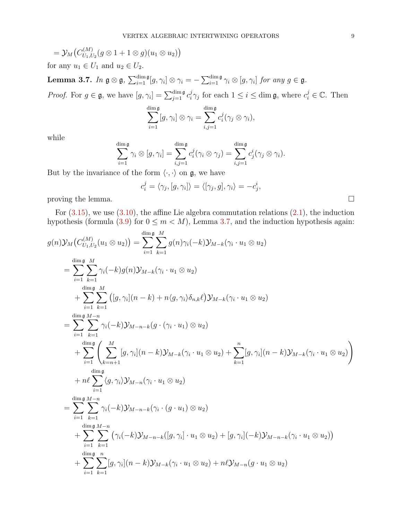$$
= \mathcal{Y}_M\big(C_{U_1,U_2}^{(M)}(g\otimes 1+1\otimes g)(u_1\otimes u_2)\big)
$$

for any  $u_1 \in U_1$  and  $u_2 \in U_2$ .

<span id="page-8-0"></span>Lemma 3.7. In  $\mathfrak{g}\otimes\mathfrak{g}$ ,  $\sum_{i=1}^{\dim\mathfrak{g}}[g,\gamma_i]\otimes\gamma_i=-\sum_{i=1}^{\dim\mathfrak{g}}\gamma_i\otimes[g,\gamma_i]$  for any  $g\in\mathfrak{g}$ .

*Proof.* For  $g \in \mathfrak{g}$ , we have  $[g, \gamma_i] = \sum_{j=1}^{\dim \mathfrak{g}} c_i^j$  $i_j^j \gamma_j$  for each  $1 \leq i \leq \dim \mathfrak{g}$ , where  $c_i^j \in \mathbb{C}$ . Then

$$
\sum_{i=1}^{\dim \mathfrak{g}} [g, \gamma_i] \otimes \gamma_i = \sum_{i,j=1}^{\dim \mathfrak{g}} c_i^j(\gamma_j \otimes \gamma_i),
$$

while

$$
\sum_{i=1}^{\dim \mathfrak{g}} \gamma_i \otimes [g, \gamma_i] = \sum_{i,j=1}^{\dim \mathfrak{g}} c_i^j(\gamma_i \otimes \gamma_j) = \sum_{i,j=1}^{\dim \mathfrak{g}} c_j^i(\gamma_j \otimes \gamma_i).
$$

But by the invariance of the form  $\langle \cdot, \cdot \rangle$  on  $\mathfrak{g}$ , we have

$$
c_i^j = \langle \gamma_j, [g, \gamma_i] \rangle = \langle [\gamma_j, g], \gamma_i \rangle = -c_j^i,
$$

proving the lemma.  $\Box$ 

For  $(3.15)$ , we use  $(3.10)$ , the affine Lie algebra commutation relations  $(2.1)$ , the induction hypothesis (formula [\(3.9\)](#page-6-3) for  $0 \leq m < M$ ), Lemma [3.7,](#page-8-0) and the induction hypothesis again:

$$
g(n)\mathcal{Y}_M(C_{U_1,U_2}^{(M)}(u_1 \otimes u_2)) = \sum_{i=1}^{\dim \mathfrak{g}} \sum_{k=1}^M g(n)\gamma_i(-k)\mathcal{Y}_{M-k}(\gamma_i \cdot u_1 \otimes u_2)
$$
  
\n
$$
= \sum_{i=1}^{\dim \mathfrak{g}} \sum_{k=1}^M \gamma_i(-k)g(n)\mathcal{Y}_{M-k}(\gamma_i \cdot u_1 \otimes u_2)
$$
  
\n
$$
+ \sum_{i=1}^{\dim \mathfrak{g}} \sum_{k=1}^M ([g, \gamma_i](n-k) + n\langle g, \gamma_i \rangle \delta_{n,k}\ell)\mathcal{Y}_{M-k}(\gamma_i \cdot u_1 \otimes u_2)
$$
  
\n
$$
= \sum_{i=1}^{\dim \mathfrak{g}} \sum_{k=1}^{M-n} \gamma_i(-k)\mathcal{Y}_{M-n-k}(g \cdot (\gamma_i \cdot u_1) \otimes u_2)
$$
  
\n
$$
+ \sum_{i=1}^{\dim \mathfrak{g}} \left( \sum_{k=n+1}^M [g, \gamma_i](n-k)\mathcal{Y}_{M-k}(\gamma_i \cdot u_1 \otimes u_2) + \sum_{k=1}^n [g, \gamma_i](n-k)\mathcal{Y}_{M-k}(\gamma_i \cdot u_1 \otimes u_2) \right)
$$
  
\n
$$
+ n\ell \sum_{i=1}^{\dim \mathfrak{g}} \langle g, \gamma_i \rangle \mathcal{Y}_{M-n}(\gamma_i \cdot u_1 \otimes u_2)
$$
  
\n
$$
= \sum_{i=1}^{\dim \mathfrak{g}} \sum_{k=1}^{M-n} \gamma_i(-k)\mathcal{Y}_{M-n-k}(\gamma_i \cdot (g \cdot u_1) \otimes u_2)
$$
  
\n
$$
+ \sum_{i=1}^{\dim \mathfrak{g}} \sum_{k=1}^{M-n} (\gamma_i(-k)\mathcal{Y}_{M-n-k}([g, \gamma_i] \cdot u_1 \otimes u_2) + [g, \gamma_i](-k)\mathcal{Y}_{M-n-k}(\gamma_i \cdot u_1 \otimes u_2))
$$
  
\n
$$
+ \sum_{i=1}^{\dim \mathfrak{g}} \sum_{k=1}^n [g, \gamma_i](n-k)\mathcal{Y}_{M-k}(\gamma_i \cdot u_
$$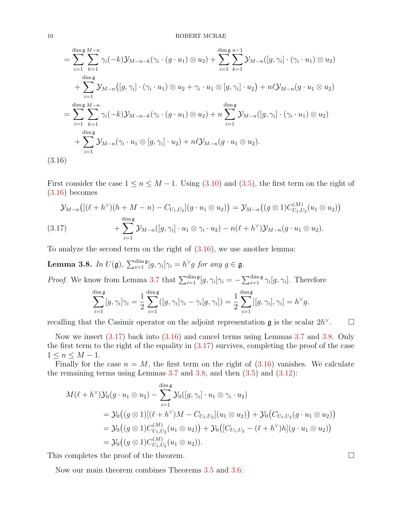$$
= \sum_{i=1}^{\dim \mathfrak{g}} \sum_{k=1}^{M-n} \gamma_i(-k) \mathcal{Y}_{M-n-k}(\gamma_i \cdot (g \cdot u_1) \otimes u_2) + \sum_{i=1}^{\dim \mathfrak{g}} \sum_{k=1}^{n-1} \mathcal{Y}_{M-n}([g, \gamma_i] \cdot (\gamma_i \cdot u_1) \otimes u_2)
$$
  
+ 
$$
\sum_{i=1}^{\dim \mathfrak{g}} \mathcal{Y}_{M-n}([g, \gamma_i] \cdot (\gamma_i \cdot u_1) \otimes u_2 + \gamma_i \cdot u_1 \otimes [g, \gamma_i] \cdot u_2) + n\ell \mathcal{Y}_{M-n}(g \cdot u_1 \otimes u_2)
$$
  
= 
$$
\sum_{i=1}^{\dim \mathfrak{g}} \sum_{k=1}^{M-n} \gamma_i(-k) \mathcal{Y}_{M-n-k}(\gamma_i \cdot (g \cdot u_1) \otimes u_2) + n \sum_{i=1}^{\dim \mathfrak{g}} \mathcal{Y}_{M-n}([g, \gamma_i] \cdot (\gamma_i \cdot u_1) \otimes u_2)
$$
  
+ 
$$
\sum_{i=1}^{\dim \mathfrak{g}} \mathcal{Y}_{M-n}(\gamma_i \cdot u_1 \otimes [g, \gamma_i] \cdot u_2) + n\ell \mathcal{Y}_{M-n}(g \cdot u_1 \otimes u_2).
$$
  
(3.16)

<span id="page-9-0"></span>First consider the case  $1 \le n \le M - 1$ . Using [\(3.10\)](#page-7-0) and [\(3.5\)](#page-5-3), the first term on the right of [\(3.16\)](#page-9-0) becomes

<span id="page-9-1"></span>
$$
\mathcal{Y}_{M-n}\big( [(\ell+h^{\vee})(h+M-n)-C_{U_1,U_2}](g \cdot u_1 \otimes u_2) \big) = \mathcal{Y}_{M-n}\big( (g \otimes 1)C_{U_1,U_2}^{(M)}(u_1 \otimes u_2) \big) + \sum_{i=1}^{\dim \mathfrak{g}} \mathcal{Y}_{M-n}([g,\gamma_i] \cdot u_1 \otimes \gamma_i \cdot u_2) - n(\ell+h^{\vee})\mathcal{Y}_{M-n}(g \cdot u_1 \otimes u_2).
$$

To analyze the second term on the right of  $(3.16)$ , we use another lemma:

<span id="page-9-2"></span>**Lemma 3.8.** In  $U(\mathfrak{g})$ ,  $\sum_{i=1}^{\dim \mathfrak{g}} [g, \gamma_i] \gamma_i = h^{\vee} g$  for any  $g \in \mathfrak{g}$ .

*Proof.* We know from Lemma [3.7](#page-8-0) that  $\sum_{i=1}^{\dim \mathfrak{g}} [g, \gamma_i] \gamma_i = -\sum_{i=1}^{\dim \mathfrak{g}} \gamma_i [g, \gamma_i]$ . Therefore

$$
\sum_{i=1}^{\dim \mathfrak{g}} [g, \gamma_i] \gamma_i = \frac{1}{2} \sum_{i=1}^{\dim \mathfrak{g}} ([g, \gamma_i] \gamma_i - \gamma_i [g, \gamma_i]) = \frac{1}{2} \sum_{i=1}^{\dim \mathfrak{g}} [[g, \gamma_i], \gamma_i] = h^{\vee} g,
$$

recalling that the Casimir operator on the adjoint representation  $\mathfrak g$  is the scalar  $2h^{\vee}$  $\Box$ 

Now we insert [\(3.17\)](#page-9-1) back into [\(3.16\)](#page-9-0) and cancel terms using Lemmas [3.7](#page-8-0) and [3.8.](#page-9-2) Only the first term to the right of the equality in [\(3.17\)](#page-9-1) survives, completing the proof of the case  $1 \leq n \leq M-1$ .

Finally for the case  $n = M$ , the first term on the right of  $(3.16)$  vanishes. We calculate the remaining terms using Lemmas  $3.7$  and  $3.8$ , and then  $(3.5)$  and  $(3.12)$ :

$$
M(\ell + h^{\vee})\mathcal{Y}_{0}(g \cdot u_{1} \otimes u_{2}) - \sum_{i=1}^{\dim \mathfrak{g}} \mathcal{Y}_{0}([g, \gamma_{i}] \cdot u_{1} \otimes \gamma_{i} \cdot u_{2})
$$
  
=  $\mathcal{Y}_{0}((g \otimes 1)[(\ell + h^{\vee})M - C_{U_{1},U_{2}}](u_{1} \otimes u_{2})) + \mathcal{Y}_{0}(C_{U_{1},U_{2}}(g \cdot u_{1} \otimes u_{2}))$   
=  $\mathcal{Y}_{0}((g \otimes 1)C_{U_{1},U_{2}}^{(M)}(u_{1} \otimes u_{2})) + \mathcal{Y}_{0}([C_{U_{1},U_{2}} - (\ell + h^{\vee})h](g \cdot u_{1} \otimes u_{2}))$   
=  $\mathcal{Y}_{0}((g \otimes 1)C_{U_{1},U_{2}}^{(M)}(u_{1} \otimes u_{2})).$ 

This completes the proof of the theorem.

Now our main theorem combines Theorems [3.5](#page-6-0) and [3.6:](#page-6-4)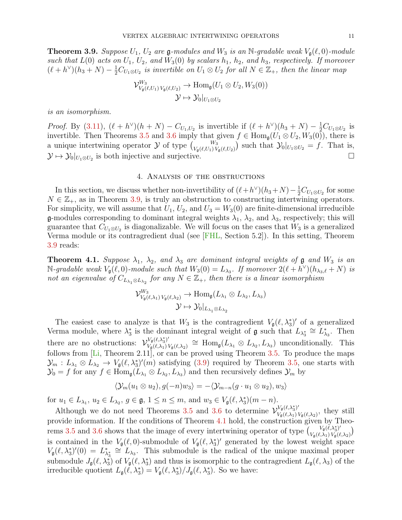<span id="page-10-0"></span>**Theorem 3.9.** Suppose  $U_1$ ,  $U_2$  are  $\mathfrak{g}\text{-modules}$  and  $W_3$  is an N-gradable weak  $V_{\mathfrak{g}}(\ell, 0)$ -module such that  $L(0)$  acts on  $U_1$ ,  $U_2$ , and  $W_3(0)$  by scalars  $h_1$ ,  $h_2$ , and  $h_3$ , respectively. If moreover  $(\ell + h^{\vee})(h_3 + N) - \frac{1}{2}C_{U_1 \otimes U_2}$  is invertible on  $U_1 \otimes U_2$  for all  $N \in \mathbb{Z}_+$ , then the linear map

$$
\mathcal{V}_{V_{\mathfrak{g}}(\ell,U_1)V_{\mathfrak{g}}(\ell,U_2)}^{W_3} \to \text{Hom}_{\mathfrak{g}}(U_1 \otimes U_2, W_3(0))
$$

$$
\mathcal{Y} \mapsto \mathcal{Y}_0|_{U_1 \otimes U_2}
$$

is an isomorphism.

*Proof.* By [\(3.11\)](#page-7-5),  $(\ell + h^{\vee})(h + N) - C_{U_1, U_2}$  is invertible if  $(\ell + h^{\vee})(h_3 + N) - \frac{1}{2}C_{U_1 \otimes U_2}$  is invertible. Then Theorems [3.5](#page-6-0) and [3.6](#page-6-4) imply that given  $f \in \text{Hom}_{\mathfrak{g}}(U_1 \otimes U_2, W_3(0))$ , there is a unique intertwining operator  $\mathcal Y$  of type  $\binom{W_3}{V_{\mathfrak{g}}(\ell,U_1)V_{\mathfrak{g}}(\ell,U_2)}$  such that  $\mathcal Y_0|_{U_1\otimes U_2} = f$ . That is,  $\mathcal{Y} \mapsto \mathcal{Y}_0|_{U_1 \otimes U_2}$  is both injective and surjective.

### 4. Analysis of the obstructions

<span id="page-10-1"></span>In this section, we discuss whether non-invertibility of  $(\ell + h^{\vee})(h_3 + N) - \frac{1}{2}C_{U_1 \otimes U_2}$  for some  $N \in \mathbb{Z}_+$ , as in Theorem [3.9,](#page-10-0) is truly an obstruction to constructing intertwining operators. For simplicity, we will assume that  $U_1, U_2$ , and  $U_3 = W_3(0)$  are finite-dimensional irreducible **g**-modules corresponding to dominant integral weights  $\lambda_1$ ,  $\lambda_2$ , and  $\lambda_3$ , respectively; this will guarantee that  $C_{U_1 \otimes U_2}$  is diagonalizable. We will focus on the cases that  $W_3$  is a generalized Verma module or its contragredient dual (see [\[FHL,](#page-17-13) Section 5.2]). In this setting, Theorem [3.9](#page-10-0) reads:

<span id="page-10-2"></span>**Theorem 4.1.** Suppose  $\lambda_1$ ,  $\lambda_2$ , and  $\lambda_3$  are dominant integral weights of **g** and  $W_3$  is an  $\mathbb{N}\text{-}\mathit{gradable weak } V_{\mathfrak{g}}(\ell,0)\text{-}\mathit{module such that } W_3(0) = L_{\lambda_3}.$  If moreover  $2(\ell + h^{\vee})(h_{\lambda_3,\ell} + N)$  is not an eigenvalue of  $C_{L_{\lambda_1} \otimes L_{\lambda_2}}$  for any  $N \in \mathbb{Z}_+$ , then there is a linear isomorphism

$$
\mathcal{V}_{V_{\mathfrak{g}}(\ell,\lambda_1) V_{\mathfrak{g}}(\ell,\lambda_2)}^{W_3} \to \text{Hom}_{\mathfrak{g}}(L_{\lambda_1} \otimes L_{\lambda_2}, L_{\lambda_3})
$$

$$
\mathcal{Y} \mapsto \mathcal{Y}_0|_{L_{\lambda_1} \otimes L_{\lambda_2}}
$$

The easiest case to analyze is that  $W_3$  is the contragredient  $V_g(\ell, \lambda_3^*)'$  of a generalized Verma module, where  $\lambda_3^*$  is the dominant integral weight of  $\mathfrak g$  such that  $L_{\lambda_3^*} \cong L_{\lambda_3}^*$ . Then there are no obstructions:  $\mathcal{V}_{V_{\mathcal{L}}(\ell,\lambda_1)}^{V_{\mathfrak{g}}(\ell,\lambda_3^*)'}$  $V_{\mathfrak{g}}(\ell,\lambda_3^*)'_{\mathfrak{g}}(\ell,\lambda_2) \cong \text{Hom}_{\mathfrak{g}}(L_{\lambda_1} \otimes L_{\lambda_2}, L_{\lambda_3})$  unconditionally. This follows from  $[L_i,$  Theorem 2.11], or can be proved using Theorem [3.5.](#page-6-0) To produce the maps  $\mathcal{Y}_m: L_{\lambda_1} \otimes L_{\lambda_2} \to V_{\mathfrak{g}}(\ell, \lambda_3^*)'(m)$  satisfying [\(3.9\)](#page-6-3) required by Theorem [3.5,](#page-6-0) one starts with  $\mathcal{Y}_0 = f$  for any  $f \in \text{Hom}_{\mathfrak{g}}(L_{\lambda_1} \otimes L_{\lambda_2}, L_{\lambda_3})$  and then recursively defines  $\mathcal{Y}_m$  by

$$
\langle \mathcal{Y}_m(u_1 \otimes u_2), g(-n)w_3 \rangle = -\langle \mathcal{Y}_{m-n}(g \cdot u_1 \otimes u_2), w_3 \rangle
$$

for  $u_1 \in L_{\lambda_1}$ ,  $u_2 \in L_{\lambda_2}$ ,  $g \in \mathfrak{g}$ ,  $1 \leq n \leq m$ , and  $w_3 \in V_{\mathfrak{g}}(\ell, \lambda_3^*)(m - n)$ .

Although we do not need Theorems [3.5](#page-6-0) and [3.6](#page-6-4) to determine  $\mathcal{V}_{V,(\ell,\lambda_1)}^{V_g(\ell,\lambda_3^*)'}$  $V_{\mathfrak{g}}(\ell,\lambda_1) V_{\mathfrak{g}}(\ell,\lambda_2)$ , they still provide information. If the conditions of Theorem [4.1](#page-10-2) hold, the construction given by Theo-rems [3.5](#page-6-0) and [3.6](#page-6-4) shows that the image of every intertwining operator of type  $\begin{pmatrix} V_g(\tilde{\ell},\lambda_3^*)' \\ V_g(\tilde{\ell},\lambda_3^*)' \end{pmatrix}$  $\frac{V_{\mathfrak{g}}(\ell,\lambda_3^*)'}{V_{\mathfrak{g}}(\ell,\lambda_1) V_{\mathfrak{g}}(\ell,\lambda_2)}$ is contained in the  $V_{\mathfrak{g}}(\ell, 0)$ -submodule of  $V_{\mathfrak{g}}(\ell, \lambda_3^*)'$  generated by the lowest weight space  $V_{\mathfrak{g}}(\ell, \lambda_3^*)'(0) = L_{\lambda_3^*}^* \cong L_{\lambda_3}$ . This submodule is the radical of the unique maximal proper submodule  $J_{\mathfrak{g}}(\ell, \lambda_3^*)$  of  $V_{\mathfrak{g}}(\ell, \lambda_3^*)$  and thus is isomorphic to the contragredient  $L_{\mathfrak{g}}(\ell, \lambda_3)$  of the irreducible quotient  $L_{\mathfrak{g}}(\ell, \lambda_3^*) = V_{\mathfrak{g}}(\ell, \lambda_3^*) / J_{\mathfrak{g}}(\ell, \lambda_3^*)$ . So we have: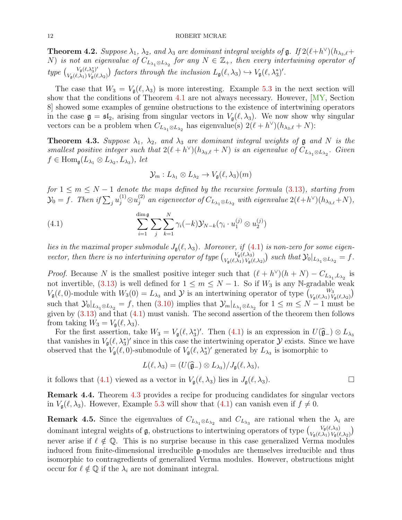**Theorem 4.2.** Suppose  $\lambda_1$ ,  $\lambda_2$ , and  $\lambda_3$  are dominant integral weights of  $\mathfrak{g}$ . If  $2(\ell+h^{\vee})(h_{\lambda_3,\ell}+$ N) is not an eigenvalue of  $C_{L_{\lambda_1} \otimes L_{\lambda_2}}$  for any  $N \in \mathbb{Z}_+$ , then every intertwining operator of  $type \left( \begin{matrix} V_{\mathfrak{g}}(\ell,\lambda_3^*)' \\ V_{\ell}(\ell,\lambda_3) V_{\ell}(\ell, \lambda_3) \end{matrix} \right)$  $V_{\mathfrak{g}}(\ell,\lambda_1)V_{\mathfrak{g}}(\ell,\lambda_2)$  factors through the inclusion  $L_{\mathfrak{g}}(\ell,\lambda_3) \hookrightarrow V_{\mathfrak{g}}(\ell,\lambda_3)$ .

The case that  $W_3 = V_g(\ell, \lambda_3)$  is more interesting. Example [5.3](#page-13-0) in the next section will show that the conditions of Theorem [4.1](#page-10-2) are not always necessary. However,  $\langle \overline{MY}$ , Section 8] showed some examples of genuine obstructions to the existence of intertwining operators in the case  $\mathfrak{g} = \mathfrak{sl}_2$ , arising from singular vectors in  $V_{\mathfrak{g}}(\ell, \lambda_3)$ . We now show why singular vectors can be a problem when  $C_{L_{\lambda_1} \otimes L_{\lambda_2}}$  has eigenvalue(s)  $2(\ell + h^{\vee})(h_{\lambda_3,\ell} + N)$ :

<span id="page-11-0"></span>**Theorem 4.3.** Suppose  $\lambda_1$ ,  $\lambda_2$ , and  $\lambda_3$  are dominant integral weights of **g** and N is the smallest positive integer such that  $2(\ell + h^{\vee})(h_{\lambda_3,\ell} + N)$  is an eigenvalue of  $C_{L_{\lambda_1} \otimes L_{\lambda_2}}$ . Given  $f \in \text{Hom}_{\mathfrak{g}}(L_{\lambda_1} \otimes L_{\lambda_2}, L_{\lambda_3}),$  let

<span id="page-11-1"></span>
$$
\mathcal{Y}_m: L_{\lambda_1} \otimes L_{\lambda_2} \to V_{\mathfrak{g}}(\ell, \lambda_3)(m)
$$

for  $1 \leq m \leq N-1$  denote the maps defined by the recursive formula [\(3.13\)](#page-7-1), starting from  $\mathcal{Y}_0 = f$ . Then if  $\sum_j u_j^{(1)} \otimes u_j^{(2)}$  $j^{(2)}$  an eigenvector of  $C_{L_{\lambda_1} \otimes L_{\lambda_2}}$  with eigenvalue  $2(\ell + h^{\vee})(h_{\lambda_{3,\ell}} + N),$ 

(4.1) 
$$
\sum_{i=1}^{\dim \mathfrak{g}} \sum_{j} \sum_{k=1}^{N} \gamma_i(-k) \mathcal{Y}_{N-k}(\gamma_i \cdot u_1^{(j)} \otimes u_2^{(j)})
$$

lies in the maximal proper submodule  $J_{\mathfrak{g}}(\ell, \lambda_3)$ . Moreover, if [\(4.1\)](#page-11-1) is non-zero for some eigenvector, then there is no intertwining operator of type  $\int_{V_{\alpha}} \frac{V_{\beta}(\ell,\lambda_3)}{\lambda_3 \lambda_4}$  $\frac{V_{\mathfrak{g}}(\ell,\lambda_3)}{V_{\mathfrak{g}}(\ell,\lambda_1)\,V_{\mathfrak{g}}(\ell,\lambda_2)}$  such that  $\mathcal{Y}_0|_{L_{\lambda_1}\otimes L_{\lambda_2}}=f$  .

*Proof.* Because N is the smallest positive integer such that  $(\ell + h^{\vee})(h + N) - C_{L_{\lambda_1}, L_{\lambda_2}}$  is not invertible, [\(3.13\)](#page-7-1) is well defined for  $1 \leq m \leq N-1$ . So if  $W_3$  is any N-gradable weak  $V_{\mathfrak{g}}(\ell, 0)$ -module with  $W_3(0) = L_{\lambda_3}$  and  $\mathcal Y$  is an intertwining operator of type  ${W_3 \choose V_{\mathfrak{g}}(\ell, \lambda_1)V_{\mathfrak{g}}(\ell, \lambda_2)}$ such that  $\mathcal{Y}_0|_{L_{\lambda_1} \otimes L_{\lambda_2}} = f$ , then [\(3.10\)](#page-7-0) implies that  $\mathcal{Y}_m|_{L_{\lambda_1} \otimes L_{\lambda_2}}$  for  $1 \leq m \leq N-1$  must be given by [\(3.13\)](#page-7-1) and that [\(4.1\)](#page-11-1) must vanish. The second assertion of the theorem then follows from taking  $W_3 = V_g(\ell, \lambda_3)$ .

For the first assertion, take  $W_3 = V_g(\ell, \lambda_3^*)'$ . Then [\(4.1\)](#page-11-1) is an expression in  $U(\hat{\mathfrak{g}}_-) \otimes L_{\lambda_3}$ <br>at vanishes in  $V(\ell, \lambda^*)'$  since in this case the intertwining eperator  $\lambda$  exists. Since we have that vanishes in  $V_{\mathfrak{g}}(\ell, \lambda_3^*)'$  since in this case the intertwining operator  $\mathcal Y$  exists. Since we have observed that the  $V_{\mathfrak{g}}(\ell,0)$ -submodule of  $V_{\mathfrak{g}}(\ell, \lambda_3^*)'$  generated by  $L_{\lambda_3}$  is isomorphic to

$$
L(\ell, \lambda_3) = (U(\widehat{\mathfrak{g}}_{-}) \otimes L_{\lambda_3})/J_{\mathfrak{g}}(\ell, \lambda_3),
$$

it follows that [\(4.1\)](#page-11-1) viewed as a vector in  $V_{\mathfrak{g}}(\ell, \lambda_3)$  lies in  $J_{\mathfrak{g}}(\ell, \lambda_3)$ .

Remark 4.4. Theorem [4.3](#page-11-0) provides a recipe for producing candidates for singular vectors in  $V_{\mathfrak{g}}(\ell, \lambda_3)$ . However, Example [5.3](#page-13-0) will show that [\(4.1\)](#page-11-1) can vanish even if  $f \neq 0$ .

<span id="page-11-2"></span>**Remark 4.5.** Since the eigenvalues of  $C_{L_{\lambda_1} \otimes L_{\lambda_2}}$  and  $C_{L_{\lambda_3}}$  are rational when the  $\lambda_i$  are dominant integral weights of **g**, obstructions to intertwining operators of type  $\int_{V(\ell)} \frac{V_g(\ell,\lambda_3)}{V_g(\ell,\lambda_3)}$  $V_{\mathfrak{g}}(\ell,\lambda_3)$ <br> $V_{\mathfrak{g}}(\ell,\lambda_1)$   $V_{\mathfrak{g}}(\ell,\lambda_2)$ never arise if  $\ell \notin \mathbb{Q}$ . This is no surprise because in this case generalized Verma modules induced from finite-dimensional irreducible g-modules are themselves irreducible and thus isomorphic to contragredients of generalized Verma modules. However, obstructions might occur for  $\ell \notin \mathbb{Q}$  if the  $\lambda_i$  are not dominant integral.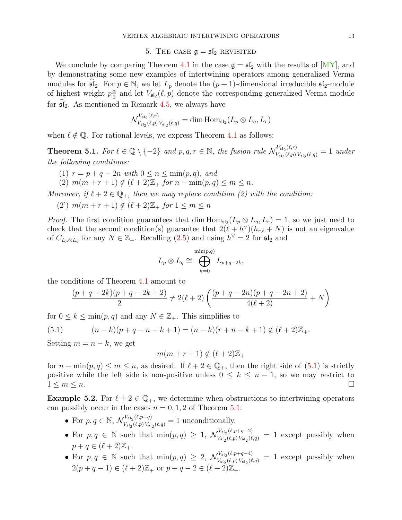5. THE CASE  $\mathfrak{g} = \mathfrak{sl}_2$  revisited

<span id="page-12-0"></span>We conclude by comparing Theorem [4.1](#page-10-2) in the case  $\mathfrak{g} = \mathfrak{sl}_2$  with the results of  $[MY]$ , and by demonstrating some new examples of intertwining operators among generalized Verma modules for  $\mathfrak{sl}_2$ . For  $p \in \mathbb{N}$ , we let  $L_p$  denote the  $(p + 1)$ -dimensional irreducible  $\mathfrak{sl}_2$ -module of highest weight  $p\frac{\alpha}{2}$  $\frac{\alpha}{2}$  and let  $V_{\mathfrak{sl}_2}(\ell, p)$  denote the corresponding generalized Verma module for  $\mathfrak{sl}_2$ . As mentioned in Remark [4.5,](#page-11-2) we always have

$$
\mathcal{N}_{V_{\mathfrak{sl}_2}(\ell,p) \, V_{\mathfrak{sl}_2}(\ell,q)}^{V_{\mathfrak{sl}_2}(\ell,r)} = \dim \mathrm{Hom}_{\mathfrak{sl}_2}(L_p \otimes L_q, L_r)
$$

when  $\ell \notin \mathbb{Q}$ . For rational levels, we express Theorem [4.1](#page-10-2) as follows:

<span id="page-12-2"></span>**Theorem 5.1.** For  $\ell \in \mathbb{Q} \setminus \{-2\}$  and  $p, q, r \in \mathbb{N}$ , the fusion rule  $\mathcal{N}_{V, (\ell, n)}^{V_{\text{sl}_2}(\ell, r)}$  $V_{\mathfrak{sl}_2}(\ell,p) V_{\mathfrak{sl}_2}(\ell,q) = 1$  under the following conditions:

- (1)  $r = p + q 2n$  with  $0 \leq n \leq \min(p, q)$ , and
- (2)  $m(m + r + 1) \notin (\ell + 2)\mathbb{Z}$  for  $n \min(p, q) \le m \le n$ .

Moreover, if  $\ell + 2 \in \mathbb{Q}_+$ , then we may replace condition (2) with the condition:

(2)  $m(m + r + 1) \notin (\ell + 2)\mathbb{Z}$  for  $1 \leq m \leq n$ 

*Proof.* The first condition guarantees that dim  $\text{Hom}_{\mathfrak{sl}_2}(L_p \otimes L_q, L_r) = 1$ , so we just need to check that the second condition(s) guarantee that  $2(\ell + h^{\vee})(h_{r,\ell} + N)$  is not an eigenvalue of  $C_{L_p\otimes L_q}$  for any  $N \in \mathbb{Z}_+$ . Recalling [\(2.5\)](#page-4-3) and using  $h^{\vee} = 2$  for  $\mathfrak{sl}_2$  and

$$
L_p \otimes L_q \cong \bigoplus_{k=0}^{\min(p,q)} L_{p+q-2k},
$$

the conditions of Theorem [4.1](#page-10-2) amount to

<span id="page-12-1"></span>
$$
\frac{(p+q-2k)(p+q-2k+2)}{2} \neq 2(\ell+2)\left(\frac{(p+q-2n)(p+q-2n+2)}{4(\ell+2)}+N\right)
$$

for  $0 \leq k \leq \min(p, q)$  and any  $N \in \mathbb{Z}_+$ . This simplifies to

(5.1) 
$$
(n-k)(p+q-n-k+1) = (n-k)(r+n-k+1) \notin (\ell+2)\mathbb{Z}_+.
$$

Setting  $m = n - k$ , we get

$$
m(m+r+1) \notin (\ell+2)\mathbb{Z}_+
$$

for  $n - \min(p, q) \leq m \leq n$ , as desired. If  $\ell + 2 \in \mathbb{Q}_+$ , then the right side of [\(5.1\)](#page-12-1) is strictly positive while the left side is non-positive unless  $0 \leq k \leq n-1$ , so we may restrict to  $1 \leq m \leq n$ .

<span id="page-12-3"></span>**Example 5.2.** For  $\ell + 2 \in \mathbb{Q}_+$ , we determine when obstructions to intertwining operators can possibly occur in the cases  $n = 0, 1, 2$  of Theorem [5.1:](#page-12-2)

- For  $p, q \in \mathbb{N}$ ,  $\mathcal{N}_{V_{\text{c}}(p,p+q)}^{V_{\text{sl}_2}(\ell,p+q)}$  $V_{\mathfrak{sl}_2}(\ell,p+q) \over V_{\mathfrak{sl}_2}(\ell,p) V_{\mathfrak{sl}_2}(\ell,q)} = 1$  unconditionally.
- For  $p, q \in \mathbb{N}$  such that  $\min(p, q) \geq 1$ ,  $\mathcal{N}_{V, q, q}^{V_{\text{sl}_2}(l, p+q-2)}$  $V_{s_1}V_{s_2}(\ell,p) V_{s_1}(\ell,q) = 1$  except possibly when  $p + q \in (\ell + 2)\mathbb{Z}_{+}.$
- For  $p, q \in \mathbb{N}$  such that  $\min(p, q) \geq 2$ ,  $\mathcal{N}_{V, q, q}^{V_{\text{sl}_2}(\ell, p+q-4)}$  $V_{s_{12}}(e,p+q-4)$  = 1 except possibly when  $2(p+q-1) \in (\ell+2)\mathbb{Z}_+$  or  $p+q-2 \in (\ell+2)\mathbb{Z}_+$ .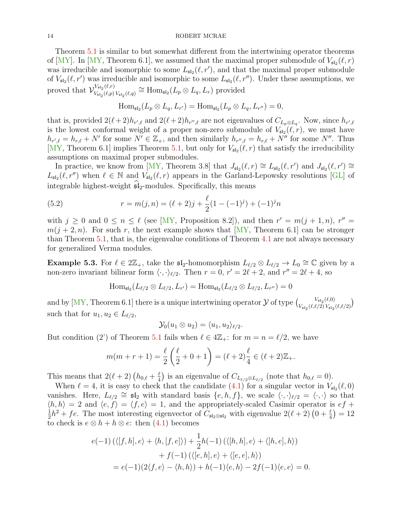Theorem [5.1](#page-12-2) is similar to but somewhat different from the intertwining operator theorems of [\[MY\]](#page-17-0). In [\[MY,](#page-17-0) Theorem 6.1], we assumed that the maximal proper submodule of  $V_{\mathfrak{sl}_2}(\ell,r)$ was irreducible and isomorphic to some  $L_{\mathfrak{sl}_2}(\ell, r')$ , and that the maximal proper submodule of  $V_{\mathfrak{sl}_2}(\ell, r')$  was irreducible and isomorphic to some  $L_{\mathfrak{sl}_2}(\ell, r'')$ . Under these assumptions, we proved that  $\mathcal{V}_{V_{\mathcal{N}_{\mathcal{K}}}(\ell,n)}^{V_{\mathfrak{sl}_2}(\ell,r)}$  $V_{\mathfrak{sl}_2}(\ell,r) \atop V_{\mathfrak{sl}_2}(\ell,p) \ V_{\mathfrak{sl}_2}(\ell,q)} \cong \mathrm{Hom}_{\mathfrak{sl}_2}(L_p \otimes L_q, L_r)$  provided

$$
\operatorname{Hom}_{\mathfrak{sl}_2}(L_p \otimes L_q, L_{r'}) = \operatorname{Hom}_{\mathfrak{sl}_2}(L_p \otimes L_q, L_{r''}) = 0,
$$

that is, provided  $2(\ell + 2)h_{r',\ell}$  and  $2(\ell + 2)h_{r'',\ell}$  are not eigenvalues of  $C_{L_p\otimes L_q}$ . Now, since  $h_{r',\ell}$ is the lowest conformal weight of a proper non-zero submodule of  $V_{\mathfrak{sl}_2}(\ell,r)$ , we must have  $h_{r',\ell} = h_{r,\ell} + N'$  for some  $N' \in \mathbb{Z}_+$ , and then similarly  $h_{r'',\ell} = h_{r,\ell} + N''$  for some  $N''$ . Thus [\[MY,](#page-17-0) Theorem 6.1] implies Theorem [5.1,](#page-12-2) but only for  $V_{\mathfrak{sl}_2}(\ell,r)$  that satisfy the irreducibility assumptions on maximal proper submodules.

In practice, we know from [\[MY,](#page-17-0) Theorem 3.8] that  $J_{\mathfrak{sl}_2}(\ell,r) \cong L_{\mathfrak{sl}_2}(\ell,r')$  and  $J_{\mathfrak{sl}_2}(\ell,r') \cong$  $L_{\mathfrak{sl}_2}(\ell, r'')$  when  $\ell \in \mathbb{N}$  and  $V_{\mathfrak{sl}_2}(\ell, r)$  appears in the Garland-Lepowsky resolutions [\[GL\]](#page-17-17) of integrable highest-weight  $\mathfrak{sl}_2$ -modules. Specifically, this means

<span id="page-13-1"></span>(5.2) 
$$
r = m(j, n) = (\ell + 2)j + \frac{\ell}{2}(1 - (-1)^j) + (-1)^j n
$$

with  $j \geq 0$  and  $0 \leq n \leq \ell$  (see [\[MY,](#page-17-0) Proposition 8.2]), and then  $r' = m(j + 1, n)$ ,  $r'' =$  $m(j + 2, n)$ . For such r, the next example shows that  $\lfloor \text{MY} \rfloor$ , Theorem 6.1 can be stronger than Theorem [5.1,](#page-12-2) that is, the eigenvalue conditions of Theorem [4.1](#page-10-2) are not always necessary for generalized Verma modules.

<span id="page-13-0"></span>**Example 5.3.** For  $\ell \in 2\mathbb{Z}_+$ , take the  $\mathfrak{sl}_2$ -homomorphism  $L_{\ell/2} \otimes L_{\ell/2} \to L_0 \cong \mathbb{C}$  given by a non-zero invariant bilinear form  $\langle \cdot, \cdot \rangle_{\ell/2}$ . Then  $r = 0, r' = 2\ell + 2$ , and  $r'' = 2\ell + 4$ , so

$$
\operatorname{Hom}_{\mathfrak{sl}_2}(L_{\ell/2}\otimes L_{\ell/2},L_{r'})=\operatorname{Hom}_{\mathfrak{sl}_2}(L_{\ell/2}\otimes L_{\ell/2},L_{r''})=0
$$

and by [\[MY,](#page-17-0) Theorem 6.1] there is a unique intertwining operator  $\mathcal Y$  of type  $\begin{pmatrix} V_{\mathfrak{sl}_2}(\ell,0) \\ V_{\mathfrak{sl}_2}(\ell,0) \end{pmatrix}$  $V_{\mathfrak{sl}_2}(\ell,0) \ V_{\mathfrak{sl}_2}(\ell, \ell/2) V_{\mathfrak{sl}_2}(\ell, \ell/2)$ such that for  $u_1, u_2 \in L_{\ell/2}$ ,

$$
\mathcal{Y}_0(u_1\otimes u_2)=\langle u_1,u_2\rangle_{\ell/2}.
$$

But condition (2') of Theorem [5.1](#page-12-2) fails when  $\ell \in 4\mathbb{Z}_+$ : for  $m = n = \ell/2$ , we have

$$
m(m+r+1) = \frac{\ell}{2} \left( \frac{\ell}{2} + 0 + 1 \right) = (\ell+2) \frac{\ell}{4} \in (\ell+2) \mathbb{Z}_+.
$$

This means that  $2(\ell + 2)$   $(h_{0,\ell} + \frac{\ell}{4})$  $\frac{\ell}{4}$ ) is an eigenvalue of  $C_{L_{\ell/2}\otimes L_{\ell/2}}$  (note that  $h_{0,\ell} = 0$ ).

When  $\ell = 4$ , it is easy to check that the candidate [\(4.1\)](#page-11-1) for a singular vector in  $V_{\mathfrak{sl}_2}(\ell,0)$ vanishes. Here,  $L_{\ell/2} \cong \mathfrak{sl}_2$  with standard basis  $\{e, h, f\}$ , we scale  $\langle \cdot, \cdot \rangle_{\ell/2} = \langle \cdot, \cdot \rangle$  so that  $\langle h, h \rangle = 2$  and  $\langle e, f \rangle = \langle f, e \rangle = 1$ , and the appropriately-scaled Casimir operator is  $ef +$ 1  $\frac{1}{2}h^2 + fe$ . The most interesting eigenvector of  $C_{\mathfrak{sl}_2 \otimes \mathfrak{sl}_2}$  with eigenvalue  $2(\ell+2)(0+\frac{\ell}{4}) = 12$ to check is  $e \otimes h + h \otimes e$ : then [\(4.1\)](#page-11-1) becomes

$$
e(-1) (\langle [f, h], e \rangle + \langle h, [f, e] \rangle) + \frac{1}{2} h(-1) (\langle [h, h], e \rangle + \langle [h, e], h \rangle) + f(-1) (\langle [e, h], e \rangle + \langle [e, e], h \rangle) = e(-1)(2\langle f, e \rangle - \langle h, h \rangle) + h(-1)\langle e, h \rangle - 2f(-1)\langle e, e \rangle = 0.
$$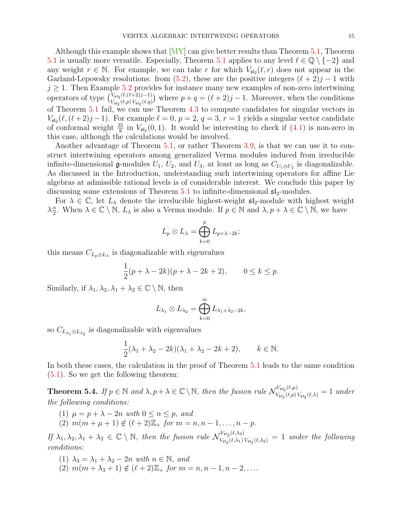Although this example shows that [\[MY\]](#page-17-0) can give better results than Theorem [5.1,](#page-12-2) Theorem [5.1](#page-12-2) is usually more versatile. Especially, Theorem 5.1 applies to any level  $\ell \in \mathbb{Q} \setminus \{-2\}$  and any weight  $r \in \mathbb{N}$ . For example, we can take r for which  $V_{\mathfrak{sl}_2}(\ell, r)$  does not appear in the Garland-Lepowsky resolutions: from [\(5.2\)](#page-13-1), these are the positive integers  $(\ell + 2)j - 1$  with  $j \geq 1$ . Then Example [5.2](#page-12-3) provides for instance many new examples of non-zero intertwining operators of type  $\binom{V_{\mathfrak{sl}_2}(\ell,(\ell+2)j-1)}{V_{\mathfrak{sl}_2}(\ell, \ell)}$  $V_{\mathfrak{sl}_2}(\ell, \ell+2)j-1)$  where  $p+q = (\ell+2)j-1$ . Moreover, when the conditions of Theorem [5.1](#page-12-2) fail, we can use Theorem [4.3](#page-11-0) to compute candidates for singular vectors in  $V_{\mathfrak{sl}_2}(\ell,(\ell+2)j-1)$ . For example  $\ell = 0$ ,  $p = 2$ ,  $q = 3$ ,  $r = 1$  yields a singular vector candidate of conformal weight  $\frac{35}{8}$  in  $V_{\mathfrak{sl}_2}(0,1)$ . It would be interesting to check if  $(4.1)$  is non-zero in this case, although the calculations would be involved.

Another advantage of Theorem [5.1,](#page-12-2) or rather Theorem [3.9,](#page-10-0) is that we can use it to construct intertwining operators among generalized Verma modules induced from irreducible infinite-dimensional  $\mathfrak g$ -modules  $U_1, U_2$ , and  $U_3$ , at least as long as  $C_{U_1 \otimes U_2}$  is diagonalizable. As discussed in the Introduction, understanding such intertwining operators for affine Lie algebras at admissible rational levels is of considerable interest. We conclude this paper by discussing some extensions of Theorem [5.1](#page-12-2) to infinite-dimensional  $\mathfrak{sl}_2$ -modules.

For  $\lambda \in \mathbb{C}$ , let  $L_{\lambda}$  denote the irreducible highest-weight  $\mathfrak{sl}_2$ -module with highest weight  $\lambda \frac{\alpha}{2}$  $\frac{\alpha}{2}$ . When  $\lambda \in \mathbb{C} \setminus \mathbb{N}$ ,  $L_{\lambda}$  is also a Verma module. If  $p \in \mathbb{N}$  and  $\lambda, p + \lambda \in \mathbb{C} \setminus \mathbb{N}$ , we have

$$
L_p \otimes L_{\lambda} = \bigoplus_{k=0}^p L_{p+\lambda-2k};
$$

this means  $C_{L_p\otimes L_\lambda}$  is diagonalizable with eigenvalues

$$
\frac{1}{2}(p+\lambda-2k)(p+\lambda-2k+2), \qquad 0 \le k \le p.
$$

Similarly, if  $\lambda_1, \lambda_2, \lambda_1 + \lambda_2 \in \mathbb{C} \setminus \mathbb{N}$ , then

$$
L_{\lambda_1}\otimes L_{\lambda_2}=\bigoplus_{k=0}^\infty L_{\lambda_1+\lambda_2-2k},
$$

so  $C_{L_{\lambda_1} \otimes L_{\lambda_2}}$  is diagonalizable with eigenvalues

$$
\frac{1}{2}(\lambda_1 + \lambda_2 - 2k)(\lambda_1 + \lambda_2 - 2k + 2), \qquad k \in \mathbb{N}.
$$

In both these cases, the calculation in the proof of Theorem [5.1](#page-12-2) leads to the same condition [\(5.1\)](#page-12-1). So we get the following theorem:

<span id="page-14-0"></span>**Theorem 5.4.** If  $p \in \mathbb{N}$  and  $\lambda, p + \lambda \in \mathbb{C} \setminus \mathbb{N}$ , then the fusion rule  $\mathcal{N}_{V, \ell, (p, p)}^{V_{\mathfrak{sl}_2}(\ell, \mu)}$  $V_{\mathfrak{sl}_2}(\ell,p) V_{\mathfrak{sl}_2}(\ell,\lambda)} = 1$  under the following conditions:

- (1)  $\mu = p + \lambda 2n$  with  $0 \leq n \leq p$ , and
- (2)  $m(m + \mu + 1) \notin (\ell + 2)\mathbb{Z}$  for  $m = n, n 1, \ldots, n p$ .

If  $\lambda_1, \lambda_2, \lambda_1 + \lambda_2 \in \mathbb{C} \setminus \mathbb{N}$ , then the fusion rule  $\mathcal{N}_{V_{\text{c}}(l,\lambda_1)}^{V_{\text{sl}_2}(l,\lambda_3)}$  $V_{\mathfrak{sl}_2}(\ell,\lambda_3) V_{\mathfrak{sl}_2}(\ell,\lambda_2) = 1$  under the following conditions:

- (1)  $\lambda_3 = \lambda_1 + \lambda_2 2n$  with  $n \in \mathbb{N}$ , and
- (2)  $m(m + \lambda_3 + 1) \notin (\ell + 2)\mathbb{Z}_+$  for  $m = n, n 1, n 2, \dots$ .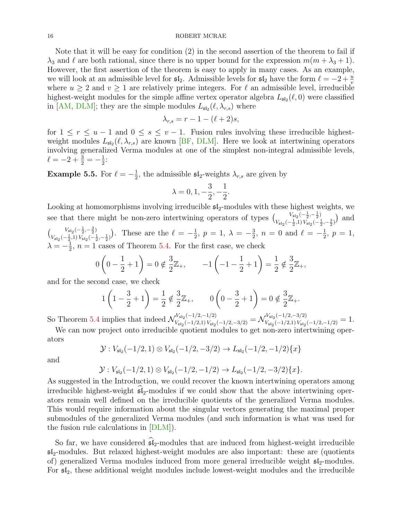Note that it will be easy for condition (2) in the second assertion of the theorem to fail if  $\lambda_3$  and  $\ell$  are both rational, since there is no upper bound for the expression  $m(m + \lambda_3 + 1)$ . However, the first assertion of the theorem is easy to apply in many cases. As an example, we will look at an admissible level for  $\mathfrak{sl}_2$ . Admissible levels for  $\mathfrak{sl}_2$  have the form  $\ell = -2 + \frac{u}{v}$ where  $u \geq 2$  and  $v \geq 1$  are relatively prime integers. For  $\ell$  an admissible level, irreducible highest-weight modules for the simple affine vertex operator algebra  $L_{\mathfrak{sl}_2}(\ell,0)$  were classified in [\[AM,](#page-17-18) [DLM\]](#page-17-19); they are the simple modules  $L_{\mathfrak{sl}_2}(\ell, \lambda_{r,s})$  where

$$
\lambda_{r,s} = r - 1 - (\ell + 2)s,
$$

for  $1 \le r \le u - 1$  and  $0 \le s \le v - 1$ . Fusion rules involving these irreducible highestweight modules  $L_{\mathfrak{sl}_2}(\ell, \lambda_{r,s})$  are known [\[BF,](#page-17-20) [DLM\]](#page-17-19). Here we look at intertwining operators involving generalized Verma modules at one of the simplest non-integral admissible levels,  $\ell = -2 + \frac{3}{2} = -\frac{1}{2}$  $\frac{1}{2}$ :

<span id="page-15-0"></span>**Example 5.5.** For  $\ell = -\frac{1}{2}$  $\frac{1}{2}$ , the admissible  $\mathfrak{sl}_2$ -weights  $\lambda_{r,s}$  are given by

$$
\lambda = 0, 1, -\frac{3}{2}, -\frac{1}{2}.
$$

Looking at homomorphisms involving irreducible  $\mathfrak{sl}_2$ -modules with these highest weights, we see that there might be non-zero intertwining operators of types  $\begin{pmatrix} V_{\text{st}_2}(-\frac{1}{2},-\frac{1}{2}) \\ V_{\text{st}_2}(-\frac{1}{2},\frac{1}{2}) \end{pmatrix}$  $\frac{V_{\mathfrak{sl}_2}(-\frac{1}{2},-\frac{1}{2})}{V_{\mathfrak{sl}_2}(-\frac{1}{2},1)V_{\mathfrak{sl}_2}(-\frac{1}{2},-\frac{3}{2})}$  and  $\left(\begin{array}{cc} V_{\mathfrak{sl}_2}(-\frac{1}{2},-\frac{3}{2}) \\ V_{\mathfrak{sl}_2}(-\frac{1}{2},\frac{3}{2}) \end{array}\right)$  $V_{\mathfrak{sl}_2}(-\frac{1}{2},-\frac{3}{2})$ . These are the  $\ell = -\frac{1}{2}$  $\frac{1}{2}, p = 1, \lambda = -\frac{3}{2}$  $\frac{3}{2}$ ,  $n = 0$  and  $\ell = -\frac{1}{2}$  $\frac{1}{2}, p = 1,$  $\lambda = -\frac{1}{2}$  $\frac{1}{2}$ ,  $n = 1$  cases of Theorem [5.4.](#page-14-0) For the first case, we check

$$
0\left(0 - \frac{1}{2} + 1\right) = 0 \notin \frac{3}{2}\mathbb{Z}_+, \qquad -1\left(-1 - \frac{1}{2} + 1\right) = \frac{1}{2} \notin \frac{3}{2}\mathbb{Z}_+,
$$

and for the second case, we check

$$
1\left(1 - \frac{3}{2} + 1\right) = \frac{1}{2} \notin \frac{3}{2}\mathbb{Z}_+, \qquad 0\left(0 - \frac{3}{2} + 1\right) = 0 \notin \frac{3}{2}\mathbb{Z}_+.
$$

So Theorem [5.4](#page-14-0) implies that indeed  $\mathcal{N}_{V, (-1/2, -1/2)}^{V_{\text{sl}_2}(-1/2, -1/2)}$  $\frac{V_{\mathfrak{sl}_2}(-1/2,-1/2)}{V_{\mathfrak{sl}_2}(-1/2,1)\,V_{\mathfrak{sl}_2}(-1/2,-3/2)} = \mathcal{N}_{V_{\mathfrak{sl}_2}(-1/2,1)\,V_{\mathfrak{sl}_2}}^{V_{\mathfrak{sl}_2}(-1/2,-3/2)}$  $V_{\mathfrak{sl}_2}(-1/2,1)V_{\mathfrak{sl}_2}(-1/2,-1/2)=1.$ 

We can now project onto irreducible quotient modules to get non-zero intertwining operators

$$
\mathcal{Y}: V_{\mathfrak{sl}_2}(-1/2,1)\otimes V_{\mathfrak{sl}_2}(-1/2,-3/2)\to L_{\mathfrak{sl}_2}(-1/2,-1/2)\{x\}
$$

and

$$
\mathcal{Y}: V_{\mathfrak{sl}_2}(-1/2,1) \otimes V_{\mathfrak{sl}_2}(-1/2,-1/2) \to L_{\mathfrak{sl}_2}(-1/2,-3/2)\{x\}.
$$

As suggested in the Introduction, we could recover the known intertwining operators among irreducible highest-weight  $\mathfrak{sl}_2$ -modules if we could show that the above intertwining operators remain well defined on the irreducible quotients of the generalized Verma modules. This would require information about the singular vectors generating the maximal proper submodules of the generalized Verma modules (and such information is what was used for the fusion rule calculations in [\[DLM\]](#page-17-19)).

So far, we have considered  $\mathfrak{sl}_2$ -modules that are induced from highest-weight irreducible  $\mathfrak{sl}_2$ -modules. But relaxed highest-weight modules are also important: these are (quotients of) generalized Verma modules induced from more general irreducible weight  $\mathfrak{sl}_2$ -modules. For  $\mathfrak{sl}_2$ , these additional weight modules include lowest-weight modules and the irreducible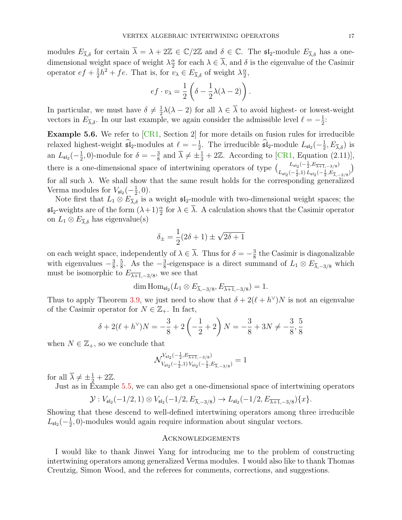modules  $E_{\overline{\lambda},\delta}$  for certain  $\overline{\lambda} = \lambda + 2\mathbb{Z} \in \mathbb{C}/2\mathbb{Z}$  and  $\delta \in \mathbb{C}$ . The  $\mathfrak{sl}_2$ -module  $E_{\overline{\lambda},\delta}$  has a onedimensional weight space of weight  $\lambda \frac{\alpha}{2}$  $\frac{\alpha}{2}$  for each  $\lambda \in \lambda$ , and  $\delta$  is the eigenvalue of the Casimir operator  $ef + \frac{1}{2}$  $\frac{1}{2}h^2 + fe$ . That is, for  $v_\lambda \in E_{\overline{\lambda},\delta}$  of weight  $\lambda \frac{\alpha}{2}$  $\frac{\alpha}{2}$ 

$$
ef \cdot v_{\lambda} = \frac{1}{2} \left( \delta - \frac{1}{2} \lambda (\lambda - 2) \right).
$$

In particular, we must have  $\delta \neq \frac{1}{2}$  $\frac{1}{2}\lambda(\lambda-2)$  for all  $\lambda \in \lambda$  to avoid highest- or lowest-weight vectors in  $E_{\overline{\lambda},\delta}$ . In our last example, we again consider the admissible level  $\ell = -\frac{1}{2}$  $\frac{1}{2}$ :

Example 5.6. We refer to [\[CR1,](#page-17-5) Section 2] for more details on fusion rules for irreducible relaxed highest-weight  $\hat{\mathfrak{sl}}_2$ -modules at  $\ell = -\frac{1}{2}$ <sup>1</sup>/<sub>2</sub>. The irreducible  $\widehat{\mathfrak{sl}}_2$ -module  $L_{\mathfrak{sl}_2}(-\frac{1}{2})$  $\frac{1}{2}, E_{\overline{\lambda}, \delta}$ ) is an  $L_{\mathfrak{sl}_2}(-\frac{1}{2})$  $(\frac{1}{2}, 0)$ -module for  $\delta = -\frac{3}{8}$  $\frac{3}{8}$  and  $\overline{\lambda} \neq \pm \frac{1}{2} + 2\mathbb{Z}$ . According to [\[CR1,](#page-17-5) Equation (2.11)], there is a one-dimensional space of intertwining operators of type  $\begin{pmatrix} L_{\mathfrak{sl}_2}(-\frac{1}{2}, E_{\overline{\lambda+1}}, -3/8) \\ L_{\mathfrak{sl}_2}(-\frac{1}{2}, E_{\overline{\lambda+1}}, -3/8) \end{pmatrix}$  $L_{\mathfrak{sl}_2}(-\frac{1}{2},1), L_{\mathfrak{sl}_2}(-\frac{1}{2},E_{\overline{\lambda},-3/8})$ <br> $L_{\mathfrak{sl}_2}(-\frac{1}{2},1), L_{\mathfrak{sl}_2}(-\frac{1}{2},E_{\overline{\lambda},-3/8})$ for all such  $\lambda$ . We shall show that the same result holds for the corresponding generalized Verma modules for  $V_{\mathfrak{sl}_2}(-\frac{1}{2})$  $(\frac{1}{2}, 0).$ 

Note first that  $L_1 \otimes E_{\overline{\lambda},\delta}$  is a weight  $\mathfrak{sl}_2$ -module with two-dimensional weight spaces; the  $\mathfrak{sl}_2$ -weights are of the form  $(\lambda+1)\frac{\alpha}{2}$  for  $\lambda \in \overline{\lambda}$ . A calculation shows that the Casimir operator on  $L_1 \otimes E_{\overline{\lambda}, \delta}$  has eigenvalue(s)

$$
\delta_{\pm} = \frac{1}{2}(2\delta + 1) \pm \sqrt{2\delta + 1}
$$

on each weight space, independently of  $\lambda \in \overline{\lambda}$ . Thus for  $\delta = -\frac{3}{8}$  $\frac{3}{8}$  the Casimir is diagonalizable with eigenvalues  $-\frac{3}{8}$  $\frac{3}{8}, \frac{5}{8}$  $\frac{5}{8}$ . As the  $-\frac{3}{8}$  $\frac{3}{8}$ -eigenspace is a direct summand of  $L_1 \otimes E_{\overline{\lambda},-3/8}$  which must be isomorphic to  $E_{\overline{\lambda+1},-3/8}$ , we see that

$$
\dim \mathrm{Hom}_{\mathfrak{sl}_2}(L_1 \otimes E_{\overline{\lambda}, -3/8}, E_{\overline{\lambda+1}, -3/8}) = 1.
$$

Thus to apply Theorem [3.9,](#page-10-0) we just need to show that  $\delta + 2(\ell + h^{\vee})N$  is not an eigenvalue of the Casimir operator for  $N \in \mathbb{Z}_+$ . In fact,

$$
\delta + 2(\ell + h^{\vee})N = -\frac{3}{8} + 2\left(-\frac{1}{2} + 2\right)N = -\frac{3}{8} + 3N \neq -\frac{3}{8}, \frac{5}{8}
$$

when  $N \in \mathbb{Z}_+$ , so we conclude that

$$
\mathcal{N}_{V_{\mathfrak{sl}_2}(-\frac{1}{2},1) \, V_{\mathfrak{sl}_2}(-\frac{1}{2},E_{\overline{\lambda+1},-3/8})}^{V_{\mathfrak{sl}_2}(-\frac{1}{2},E_{\overline{\lambda+3/8}})} = 1
$$

for all  $\overline{\lambda} \neq \pm \frac{1}{2} + 2\mathbb{Z}$ .

Just as in Example [5.5,](#page-15-0) we can also get a one-dimensional space of intertwining operators

$$
\mathcal{Y}: V_{\mathfrak{sl}_2}(-1/2, 1) \otimes V_{\mathfrak{sl}_2}(-1/2, E_{\overline{\lambda}, -3/8}) \to L_{\mathfrak{sl}_2}(-1/2, E_{\overline{\lambda+1}, -3/8})\{x\}.
$$

Showing that these descend to well-defined intertwining operators among three irreducible  $L_{\mathfrak{sl}_2}(-\frac{1}{2}$  $\frac{1}{2}$ , 0)-modules would again require information about singular vectors.

### Acknowledgements

I would like to thank Jinwei Yang for introducing me to the problem of constructing intertwining operators among generalized Verma modules. I would also like to thank Thomas Creutzig, Simon Wood, and the referees for comments, corrections, and suggestions.